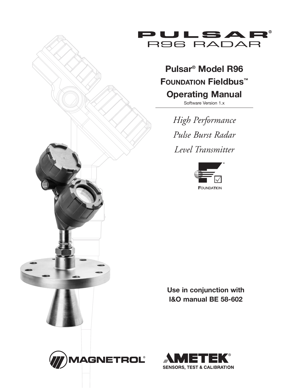

# **Pulsar® Model R96 FOUndatIOn Fieldbus™ Operating Manual**

Software Version 1.x

*High Performance Pulse Burst Radar Level Transmitter*



**Use in conjunction with I&O manual BE 58-602**



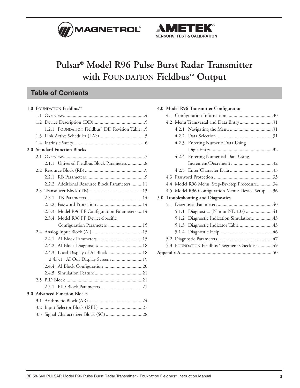



## **Pulsar® Model R96 Pulse Burst Radar Transmitter with FOUNDATION Fieldbus**™ **Output**

### **Table of Contents**

|  | 1.0 FOUNDATION Fieldbus™                                   |  |  |  |  |
|--|------------------------------------------------------------|--|--|--|--|
|  |                                                            |  |  |  |  |
|  |                                                            |  |  |  |  |
|  | 1.2.1 FOUNDATION Fieldbus <sup>™</sup> DD Revision Table 5 |  |  |  |  |
|  |                                                            |  |  |  |  |
|  |                                                            |  |  |  |  |
|  | 2.0 Standard Function Blocks                               |  |  |  |  |
|  |                                                            |  |  |  |  |
|  | Universal Fieldbus Block Parameters 8<br>2.1.1             |  |  |  |  |
|  |                                                            |  |  |  |  |
|  | 2.2.1                                                      |  |  |  |  |
|  | 2.2.2 Additional Resource Block Parameters 11              |  |  |  |  |
|  |                                                            |  |  |  |  |
|  | 2.3.1                                                      |  |  |  |  |
|  |                                                            |  |  |  |  |
|  | 2.3.3 Model R96 FF Configuration Parameters14              |  |  |  |  |
|  | 2.3.4 Model R96 FF Device-Specific                         |  |  |  |  |
|  | Configuration Parameters 15                                |  |  |  |  |
|  |                                                            |  |  |  |  |
|  |                                                            |  |  |  |  |
|  |                                                            |  |  |  |  |
|  | 2.4.3 Local Display of AI Block 18                         |  |  |  |  |
|  | 2.4.3.1 AI Out Display Screens 19                          |  |  |  |  |
|  |                                                            |  |  |  |  |
|  |                                                            |  |  |  |  |
|  |                                                            |  |  |  |  |
|  |                                                            |  |  |  |  |
|  | 3.0 Advanced Function Blocks                               |  |  |  |  |
|  |                                                            |  |  |  |  |
|  |                                                            |  |  |  |  |
|  |                                                            |  |  |  |  |

| 4.0 Model R96 Transmitter Configuration                   |                                                  |                                              |  |  |  |  |
|-----------------------------------------------------------|--------------------------------------------------|----------------------------------------------|--|--|--|--|
|                                                           |                                                  |                                              |  |  |  |  |
|                                                           | 4.2 Menu Transversal and Data Entry31            |                                              |  |  |  |  |
|                                                           |                                                  |                                              |  |  |  |  |
|                                                           |                                                  |                                              |  |  |  |  |
|                                                           |                                                  | 4.2.3 Entering Numeric Data Using            |  |  |  |  |
|                                                           |                                                  |                                              |  |  |  |  |
|                                                           |                                                  | 4.2.4 Entering Numerical Data Using          |  |  |  |  |
|                                                           |                                                  |                                              |  |  |  |  |
|                                                           |                                                  |                                              |  |  |  |  |
|                                                           |                                                  |                                              |  |  |  |  |
|                                                           |                                                  | 4.4 Model R96 Menu: Step-By-Step Procedure34 |  |  |  |  |
|                                                           | 4.5 Model R96 Configuration Menu: Device Setup36 |                                              |  |  |  |  |
|                                                           |                                                  | 5.0 Troubleshooting and Diagnostics          |  |  |  |  |
|                                                           |                                                  |                                              |  |  |  |  |
|                                                           |                                                  | 5.1.1 Diagnostics (Namur NE 107) 41          |  |  |  |  |
|                                                           |                                                  | 5.1.2 Diagnostic Indication Simulation43     |  |  |  |  |
|                                                           |                                                  |                                              |  |  |  |  |
|                                                           |                                                  |                                              |  |  |  |  |
|                                                           |                                                  |                                              |  |  |  |  |
| 5.3 FOUNDATION Fieldbus <sup>™</sup> Segment Checklist 49 |                                                  |                                              |  |  |  |  |
|                                                           |                                                  |                                              |  |  |  |  |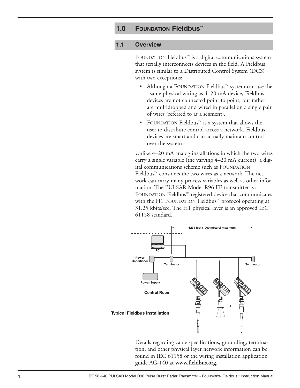### **1.0 FOUNDATION Fieldbus™**

#### **1.1 Overview**

FOUNDATION Fieldbus™ is a digital communications system that serially interconnects devices in the field. A Fieldbus system is similar to a Distributed Control System (DCS) with two exceptions:

- Although a FOUNDATION Fieldbus™ system can use the same physical wiring as 4–20 mA device, Fieldbus devices are not connected point to point, but rather are multidropped and wired in parallel on a single pair of wires (referred to as a segment).
- FOUNDATION Fieldbus™ is a system that allows the user to distribute control across a network. Fieldbus devices are smart and can actually maintain control over the system.

Unlike 4–20 mA analog installations in which the two wires carry a single variable (the varying 4–20 mA current), a digital communications scheme such as FOUNDATION Fieldbus™ considers the two wires as a network. The network can carry many process variables as well as other information. The PULSAR Model R96 FF transmitter is a FOUNDATION Fieldbus™ registered device that communicates with the H1 FOUNDATION Fieldbus™ protocol operating at 31.25 kbits/sec. The H1 physical layer is an approved IEC 61158 standard.



Details regarding cable specifications, grounding, termination, and other physical layer network information can be found in IEC 61158 or the wiring installation application guide AG-140 at **www.fieldbus.org**.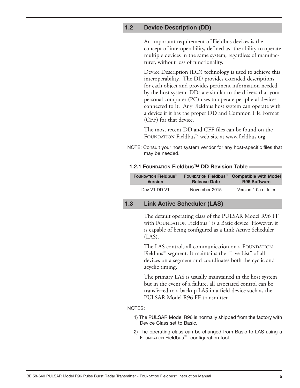#### **1.2 Device Description (DD)**

An important requirement of Fieldbus devices is the concept of interoperability, defined as "the ability to operate multiple devices in the same system, regardless of manufacturer, without loss of functionality."

Device Description (DD) technology is used to achieve this interoperability. The DD provides extended descriptions for each object and provides pertinent information needed by the host system. DDs are similar to the drivers that your personal computer (PC) uses to operate peripheral devices connected to it. Any Fieldbus host system can operate with a device if it has the proper DD and Common File Format (CFF) for that device.

The most recent DD and CFF files can be found on the FOUNDATION Fieldbus™ web site at www.fieldbus.org.

NOTE: Consult your host system vendor for any host-specific files that may be needed.

#### **1.2.1 FOUNDATION Fieldbus™ DD Revision Table**

| <b>FOUNDATION Fieldbus™</b> | <b>FOUNDATION Fieldbus™</b> | <b>Compatible with Model</b> |
|-----------------------------|-----------------------------|------------------------------|
| <b>Version</b>              | <b>Release Date</b>         | <b>R96 Software</b>          |
| Dev V1 DD V1                | November 2015               | Version 1.0a or later        |

#### **1.3 Link Active Scheduler (LAS)**

The default operating class of the PULSAR Model R96 FF with FOUNDATION Fieldbus™ is a Basic device. However, it is capable of being configured as a Link Active Scheduler (LAS).

The LAS controls all communication on a FOUNDATION Fieldbus™ segment. It maintains the "Live List" of all devices on a segment and coordinates both the cyclic and acyclic timing.

The primary LAS is usually maintained in the host system, but in the event of a failure, all associated control can be transferred to a backup LAS in a field device such as the PULSAR Model R96 FF transmitter.

#### NOTES:

- 1) The PULSAR Model R96 is normally shipped from the factory with Device Class set to Basic.
- 2) The operating class can be changed from Basic to LAS using a FOUNDATION Fieldbus™ configuration tool.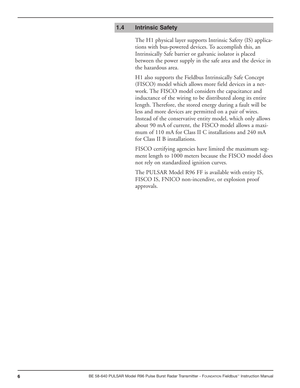#### **1.4 Intrinsic Safety**

The H1 physical layer supports Intrinsic Safety (IS) applications with bus-powered devices. To accomplish this, an Intrinsically Safe barrier or galvanic isolator is placed between the power supply in the safe area and the device in the hazardous area.

H1 also supports the Fieldbus Intrinsically Safe Concept (FISCO) model which allows more field devices in a network. The FISCO model considers the capacitance and inductance of the wiring to be distributed along its entire length. Therefore, the stored energy during a fault will be less and more devices are permitted on a pair of wires. Instead of the conservative entity model, which only allows about 90 mA of current, the FISCO model allows a maximum of 110 mA for Class II C installations and 240 mA for Class II B installations.

FISCO certifying agencies have limited the maximum segment length to 1000 meters because the FISCO model does not rely on standardized ignition curves.

The PULSAR Model R96 FF is available with entity IS, FISCO IS, FNICO non-incendive, or explosion proof approvals.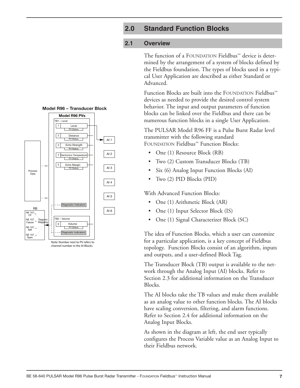### **2.0 Standard Function Blocks**

#### **2.1 Overview**

The function of a FOUNDATION Fieldbus™ device is determined by the arrangement of a system of blocks defined by the Fieldbus foundation. The types of blocks used in a typical User Application are described as either Standard or Advanced.

Function Blocks are built into the FOUNDATION Fieldbus™ devices as needed to provide the desired control system behavior. The input and output parameters of function blocks can be linked over the Fieldbus and there can be numerous function blocks in a single User Application.

The PULSAR Model R96 FF is a Pulse Burst Radar level transmitter with the following standard FOUNDATION Fieldbus™ Function Blocks:

- One (1) Resource Block (RB)
- Two (2) Custom Transducer Blocks (TB)
- Six (6) Analog Input Function Blocks (AI)
- Two (2) PID Blocks (PID)

With Advanced Function Blocks:

- One (1) Arithmetic Block (AR)
- One (1) Input Selector Block (IS)
- One (1) Signal Characterizer Block (SC)

The idea of Function Blocks, which a user can customize for a particular application, is a key concept of Fieldbus topology. Function Blocks consist of an algorithm, inputs and outputs, and a user-defined Block Tag.

The Transducer Block (TB) output is available to the network through the Analog Input (AI) blocks. Refer to Section 2.3 for additional information on the Transducer Blocks.

The AI blocks take the TB values and make them available as an analog value to other function blocks. The AI blocks have scaling conversion, filtering, and alarm functions. Refer to Section 2.4 for additional information on the Analog Input Blocks.

As shown in the diagram at left, the end user typically configures the Process Variable value as an Analog Input to their Fieldbus network.





channel number in the AI Blocks.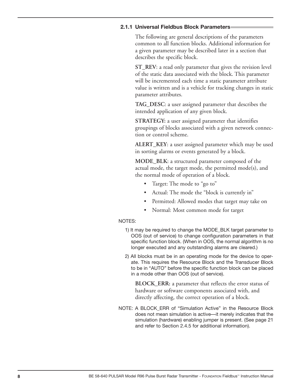#### **2.1.1 Universal Fieldbus Block Parameters**

The following are general descriptions of the parameters common to all function blocks. Additional information for a given parameter may be described later in a section that describes the specific block.

**ST\_REV**: a read only parameter that gives the revision level of the static data associated with the block. This parameter will be incremented each time a static parameter attribute value is written and is a vehicle for tracking changes in static parameter attributes.

**TAG\_DESC**: a user assigned parameter that describes the intended application of any given block.

**STRATEGY:** a user assigned parameter that identifies groupings of blocks associated with a given network connection or control scheme.

**ALERT\_KEY**: a user assigned parameter which may be used in sorting alarms or events generated by a block.

**MODE\_BLK**: a structured parameter composed of the actual mode, the target mode, the permitted mode(s), and the normal mode of operation of a block.

- Target: The mode to "go to"
- Actual: The mode the "block is currently in"
- Permitted: Allowed modes that target may take on
- Normal: Most common mode for target

#### NOTES:

- 1) It may be required to change the MODE\_BLK target parameter to OOS (out of service) to change configuration parameters in that specific function block. (When in OOS, the normal algorithm is no longer executed and any outstanding alarms are cleared.)
- 2) All blocks must be in an operating mode for the device to operate. This requires the Resource Block and the Transducer Block to be in "AUTO" before the specific function block can be placed in a mode other than OOS (out of service).

**BLOCK\_ERR:** a parameter that reflects the error status of hardware or software components associated with, and directly affecting, the correct operation of a block.

NOTE: A BLOCK\_ERR of "Simulation Active" in the Resource Block does not mean simulation is active—it merely indicates that the simulation (hardware) enabling jumper is present. (See page 21 and refer to Section 2.4.5 for additional information).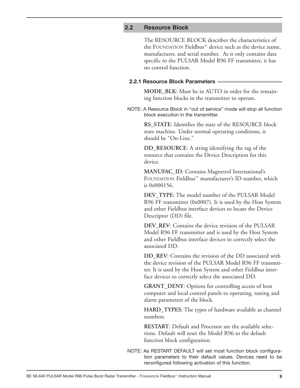#### **2.2 Resource Block**

The RESOURCE BLOCK describes the characteristics of the FOUNDATION Fieldbus™ device such as the device name, manufacturer, and serial number. As it only contains data specific to the PULSAR Model R96 FF transmitter, it has no control function.

#### **2.2.1 Resource Block Parameters**

**MODE\_BLK**: Must be in AUTO in order for the remaining function blocks in the transmitter to operate.

NOTE: A Resource Block in "out of service" mode will stop all function block execution in the transmitter.

> **RS\_STATE**: Identifies the state of the RESOURCE block state machine. Under normal operating conditions, it should be "On-Line."

**DD\_RESOURCE**: A string identifying the tag of the resource that contains the Device Description for this device.

**MANUFAC\_ID**: Contains Magnetrol International's FOUNDATION Fieldbus™ manufacturer's ID number, which is 0x000156.

**DEV\_TYPE**: The model number of the PULSAR Model R96 FF transmitter (0x0007). It is used by the Host System and other Fieldbus interface devices to locate the Device Descriptor (DD) file.

**DEV** REV: Contains the device revision of the PULSAR Model R96 FF transmitter and is used by the Host System and other Fieldbus interface devices to correctly select the associated DD.

**DD\_REV:** Contains the revision of the DD associated with the device revision of the PULSAR Model R96 FF transmitter. It is used by the Host System and other Fieldbus interface devices to correctly select the associated DD.

**GRANT\_DENY**: Options for controlling access of host computer and local control panels to operating, tuning and alarm parameters of the block.

**HARD\_TYPES**: The types of hardware available as channel numbers.

**RESTART**: Default and Processor are the available selections. Default will reset the Model R96 to the default function block configuration.

NOTE: As RESTART DEFAULT will set most function block configuration parameters to their default values. Devices need to be reconfigured following activation of this function.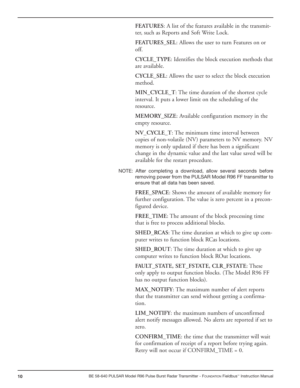**FEATURES**: A list of the features available in the transmitter, such as Reports and Soft Write Lock.

**FEATURES\_SEL**: Allows the user to turn Features on or off.

**CYCLE\_TYPE**: Identifies the block execution methods that are available.

**CYCLE** SEL: Allows the user to select the block execution method.

**MIN\_CYCLE\_T**: The time duration of the shortest cycle interval. It puts a lower limit on the scheduling of the resource.

**MEMORY\_SIZE**: Available configuration memory in the empty resource.

**NV\_CYCLE\_T**: The minimum time interval between copies of non-volatile (NV) parameters to NV memory. NV memory is only updated if there has been a significant change in the dynamic value and the last value saved will be available for the restart procedure.

NOTE: After completing a download, allow several seconds before removing power from the PULSAR Model R96 FF transmitter to ensure that all data has been saved.

> **FREE\_SPACE**: Shows the amount of available memory for further configuration. The value is zero percent in a preconfigured device.

**FREE\_TIME**: The amount of the block processing time that is free to process additional blocks.

**SHED\_RCAS**: The time duration at which to give up computer writes to function block RCas locations.

**SHED\_ROUT**: The time duration at which to give up computer writes to function block ROut locations.

**FAULT\_STATE, SET\_FSTATE, CLR\_FSTATE**: These only apply to output function blocks. (The Model R96 FF has no output function blocks).

**MAX\_NOTIFY**: The maximum number of alert reports that the transmitter can send without getting a confirmation.

**LIM\_NOTIFY**: the maximum numbers of unconfirmed alert notify messages allowed. No alerts are reported if set to zero.

**CONFIRM\_TIME**: the time that the transmitter will wait for confirmation of receipt of a report before trying again. Retry will not occur if CONFIRM\_TIME = 0.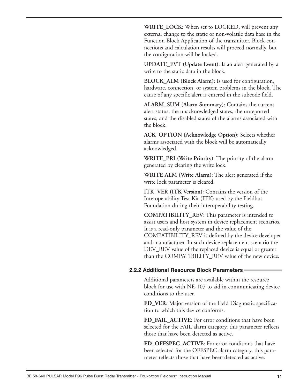**WRITE\_LOCK**: When set to LOCKED, will prevent any external change to the static or non-volatile data base in the Function Block Application of the transmitter. Block connections and calculation results will proceed normally, but the configuration will be locked.

**UPDATE\_EVT (Update Event)**: Is an alert generated by a write to the static data in the block.

**BLOCK\_ALM (Block Alarm)**: Is used for configuration, hardware, connection, or system problems in the block. The cause of any specific alert is entered in the subcode field.

**ALARM\_SUM (Alarm Summary)**: Contains the current alert status, the unacknowledged states, the unreported states, and the disabled states of the alarms associated with the block.

**ACK\_OPTION (Acknowledge Option)**: Selects whether alarms associated with the block will be automatically acknowledged.

**WRITE\_PRI (Write Priority)**: The priority of the alarm generated by clearing the write lock.

**WRITE ALM (Write Alarm)**: The alert generated if the write lock parameter is cleared.

**ITK VER (ITK Version): Contains the version of the** Interoperability Test Kit (ITK) used by the Fieldbus Foundation during their interoperability testing.

**COMPATIBILITY\_REV**: This parameter is intended to assist users and host system in device replacement scenarios. It is a read-only parameter and the value of the COMPATIBILITY\_REV is defined by the device developer and manufacturer. In such device replacement scenario the DEV\_REV value of the replaced device is equal or greater than the COMPATIBILITY\_REV value of the new device.

#### **2.2.2 additional Resource Block Parameters**

Additional parameters are available within the resource block for use with NE-107 to aid in communicating device conditions to the user.

**FD\_VER**: Major version of the Field Diagnostic specification to which this device conforms.

**FD\_FAIL\_ACTIVE**: For error conditions that have been selected for the FAIL alarm category, this parameter reflects those that have been detected as active.

**FD\_OFFSPEC\_ACTIVE**: For error conditions that have been selected for the OFFSPEC alarm category, this parameter reflects those that have been detected as active.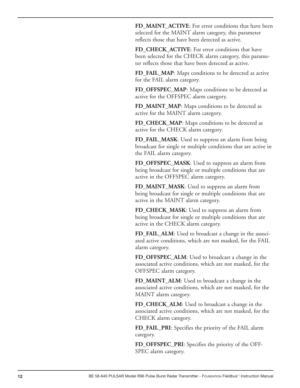**FD\_MAINT\_ACTIVE**: For error conditions that have been selected for the MAINT alarm category, this parameter reflects those that have been detected as active.

FD\_CHECK\_ACTIVE: For error conditions that have been selected for the CHECK alarm category, this parameter reflects those that have been detected as active.

**FD\_FAIL\_MAP**: Maps conditions to be detected as active for the FAIL alarm category.

**FD\_OFFSPEC\_MAP**: Maps conditions to be detected as active for the OFFSPEC alarm category.

**FD\_MAINT\_MAP**: Maps conditions to be detected as active for the MAINT alarm category.

**FD\_CHECK\_MAP**: Maps conditions to be detected as active for the CHECK alarm category.

**FD\_FAIL\_MASK**: Used to suppress an alarm from being broadcast for single or multiple conditions that are active in the FAIL alarm category.

**FD\_OFFSPEC\_MASK**: Used to suppress an alarm from being broadcast for single or multiple conditions that are active in the OFFSPEC alarm category.

**FD\_MAINT\_MASK**: Used to suppress an alarm from being broadcast for single or multiple conditions that are active in the MAINT alarm category.

**FD\_CHECK\_MASK**: Used to suppress an alarm from being broadcast for single or multiple conditions that are active in the CHECK alarm category.

**FD\_FAIL\_ALM**: Used to broadcast a change in the associated active conditions, which are not masked, for the FAIL alarm category.

**FD\_OFFSPEC\_ALM**: Used to broadcast a change in the associated active conditions, which are not masked, for the OFFSPEC alarm category.

**FD\_MAINT\_ALM**: Used to broadcast a change in the associated active conditions, which are not masked, for the MAINT alarm category.

**FD\_CHECK\_ALM**: Used to broadcast a change in the associated active conditions, which are not masked, for the CHECK alarm category.

**FD\_FAIL\_PRI**: Specifies the priority of the FAIL alarm category.

**FD\_OFFSPEC\_PRI**: Specifies the priority of the OFF-SPEC alarm category.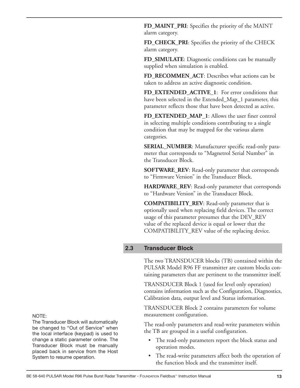**FD\_MAINT\_PRI**: Specifies the priority of the MAINT alarm category.

**FD\_CHECK\_PRI**: Specifies the priority of the CHECK alarm category.

**FD\_SIMULATE**: Diagnostic conditions can be manually supplied when simulation is enabled.

**FD\_RECOMMEN\_ACT**: Describes what actions can be taken to address an active diagnostic condition.

**FD\_EXTENDED\_ACTIVE\_1**: For error conditions that have been selected in the Extended\_Map\_1 parameter, this parameter reflects those that have been detected as active.

FD\_EXTENDED\_MAP\_1: Allows the user finer control in selecting multiple conditions contributing to a single condition that may be mapped for the various alarm categories.

**SERIAL\_NUMBER**: Manufacturer specific read-only parameter that corresponds to "Magnetrol Serial Number" in the Transducer Block.

**SOFTWARE\_REV**: Read-only parameter that corresponds to "Firmware Version" in the Transducer Block.

**HARDWARE\_REV**: Read-only parameter that corresponds to "Hardware Version" in the Transducer Block.

**COMPATIBILITY\_REV**: Read-only parameter that is optionally used when replacing field devices. The correct usage of this parameter presumes that the DEV\_REV value of the replaced device is equal or lower that the COMPATIBILITY\_REV value of the replacing device.

#### **2.3 Transducer Block**

The two TRANSDUCER blocks (TB) contained within the PULSAR Model R96 FF transmitter are custom blocks containing parameters that are pertinent to the transmitter itself.

TRANSDUCER Block 1 (used for level only operation) contains information such as the Configuration, Diagnostics, Calibration data, output level and Status information.

TRANSDUCER Block 2 contains parameters for volume measurement configuration.

The read-only parameters and read-write parameters within the TB are grouped in a useful configuration.

- The read-only parameters report the block status and operation modes.
- The read-write parameters affect both the operation of the function block and the transmitter itself.

#### NOTE:

The Transducer Block will automatically be changed to "Out of Service" when the local interface (keypad) is used to change a static parameter online. The Transducer Block must be manually placed back in service from the Host System to resume operation.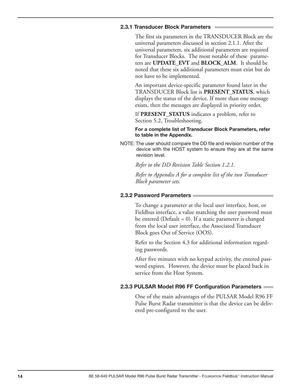#### **2.3.1 transducer Block Parameters**

The first six parameters in the TRANSDUCER Block are the universal parameters discussed in section 2.1.1. After the universal parameters, six additional parameters are required for Transducer Blocks. The most notable of these parameters are **UPDATE\_EVT** and **BLOCK\_ALM**. It should be noted that these six additional parameters must exist but do not have to be implemented.

An important device-specific parameter found later in the TRANSDUCER Block list is **PRESENT\_STATUS**, which displays the status of the device. If more than one message exists, then the messages are displayed in priority order.

If **PRESENT\_STATUS** indicates a problem, refer to Section 5.2, Troubleshooting.

For a complete list of Transducer Block Parameters, refer **to table in the appendix.**

NOTE: The user should compare the DD file and revision number of the device with the HOST system to ensure they are at the same revision level.

*Refer to the DD Revision Table Section 1.2.1.*

*Refer to Appendix A for a complete list of the two Transducer Block parameter sets.*

#### **2.3.2 Password Parameters**

To change a parameter at the local user interface, host, or Fieldbus interface, a value matching the user password must be entered (Default  $= 0$ ). If a static parameter is changed from the local user interface, the Associated Transducer Block goes Out of Service (OOS).

Refer to the Section 4.3 for additional information regarding passwords.

After five minutes with no keypad activity, the entered password expires. However, the device must be placed back in service from the Host System.

#### **2.3.3 PULSaR Model R96 FF Configuration Parameters**

One of the main advantages of the PULSAR Model R96 FF Pulse Burst Radar transmitter is that the device can be delivered pre-configured to the user.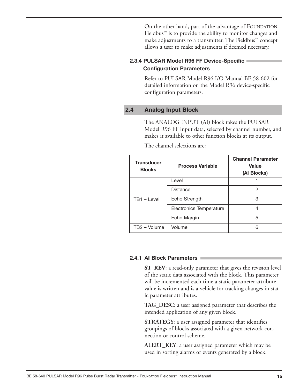On the other hand, part of the advantage of FOUNDATION Fieldbus™ is to provide the ability to monitor changes and make adjustments to a transmitter. The Fieldbus™ concept allows a user to make adjustments if deemed necessary.

#### **2.3.4 PULSaR Model R96 FF device-Specific Configuration Parameters**

Refer to PULSAR Model R96 I/O Manual BE 58-602 for detailed information on the Model R96 device-specific configuration parameters.

#### **2.4 Analog Input Block**

The ANALOG INPUT (AI) block takes the PULSAR Model R96 FF input data, selected by channel number, and makes it available to other function blocks at its output.

| <b>Transducer</b><br><b>Blocks</b> | <b>Process Variable</b> | <b>Channel Parameter</b><br><b>Value</b><br>(Al Blocks) |  |
|------------------------------------|-------------------------|---------------------------------------------------------|--|
|                                    | Level                   |                                                         |  |
|                                    | Distance                | 2                                                       |  |
| $TB1 - Level$                      | Echo Strength           | 3                                                       |  |
|                                    | Electronics Temperature |                                                         |  |
|                                    | Echo Margin             | 5                                                       |  |
| TB2 - Volume                       | Volume                  | 6                                                       |  |

The channel selections are:

#### **2.4.1 aI Block Parameters**

**ST\_REV**: a read-only parameter that gives the revision level of the static data associated with the block. This parameter will be incremented each time a static parameter attribute value is written and is a vehicle for tracking changes in static parameter attributes.

**TAG\_DESC**: a user assigned parameter that describes the intended application of any given block.

**STRATEGY:** a user assigned parameter that identifies groupings of blocks associated with a given network connection or control scheme.

**ALERT\_KEY**: a user assigned parameter which may be used in sorting alarms or events generated by a block.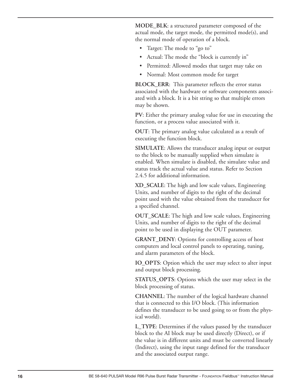**MODE\_BLK**: a structured parameter composed of the actual mode, the target mode, the permitted mode(s), and the normal mode of operation of a block.

- Target: The mode to "go to"
- Actual: The mode the "block is currently in"
- Permitted: Allowed modes that target may take on
- Normal: Most common mode for target

**BLOCK\_ERR**: This parameter reflects the error status associated with the hardware or software components associated with a block. It is a bit string so that multiple errors may be shown.

**PV**: Either the primary analog value for use in executing the function, or a process value associated with it.

**OUT**: The primary analog value calculated as a result of executing the function block.

**SIMULATE**: Allows the transducer analog input or output to the block to be manually supplied when simulate is enabled. When simulate is disabled, the simulate value and status track the actual value and status. Refer to Section 2.4.5 for additional information.

**XD\_SCALE**: The high and low scale values, Engineering Units, and number of digits to the right of the decimal point used with the value obtained from the transducer for a specified channel.

**OUT\_SCALE**: The high and low scale values, Engineering Units, and number of digits to the right of the decimal point to be used in displaying the OUT parameter.

**GRANT\_DENY**: Options for controlling access of host computers and local control panels to operating, tuning, and alarm parameters of the block.

**IO\_OPTS**: Option which the user may select to alter input and output block processing.

**STATUS\_OPTS**: Options which the user may select in the block processing of status.

**CHANNEL**: The number of the logical hardware channel that is connected to this I/O block. (This information defines the transducer to be used going to or from the physical world).

**L\_TYPE**: Determines if the values passed by the transducer block to the AI block may be used directly (Direct), or if the value is in different units and must be converted linearly (Indirect), using the input range defined for the transducer and the associated output range.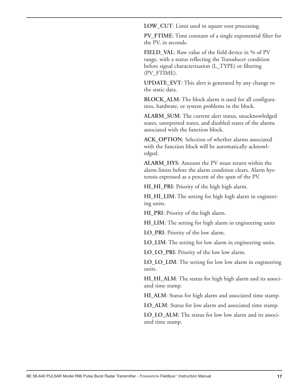**LOW\_CUT**: Limit used in square root processing.

PV\_FTIME: Time constant of a single exponential filter for the PV, in seconds.

**FIELD\_VAL**: Raw value of the field device in % of PV range, with a status reflecting the Transducer condition before signal characterization (L\_TYPE) or filtering (PV\_FTIME).

**UPDATE\_EVT**: This alert is generated by any change to the static data.

**BLOCK\_ALM**: The block alarm is used for all configuration, hardware, or system problems in the block.

**ALARM\_SUM**: The current alert status, unacknowledged states, unreported states, and disabled states of the alarms associated with the function block.

**ACK\_OPTION**: Selection of whether alarms associated with the function block will be automatically acknowledged.

**ALARM\_HYS**: Amount the PV must return within the alarm limits before the alarm condition clears. Alarm hysteresis expressed as a percent of the span of the PV.

**HI\_HI\_PRI**: Priority of the high high alarm.

**HI\_HI\_LIM**: The setting for high high alarm in engineering units.

**HI\_PRI**: Priority of the high alarm.

**HI\_LIM**: The setting for high alarm in engineering units

**LO\_PRI**: Priority of the low alarm.

**LO\_LIM**: The setting for low alarm in engineering units.

**LO\_LO\_PRI**: Priority of the low low alarm.

**LO\_LO\_LIM**: The setting for low low alarm in engineering units.

**HI\_HI\_ALM**: The status for high high alarm and its associated time stamp.

**HI\_ALM**: Status for high alarm and associated time stamp.

**LO\_ALM**: Status for low alarm and associated time stamp.

**LO\_LO\_ALM**: The status for low low alarm and its associated time stamp.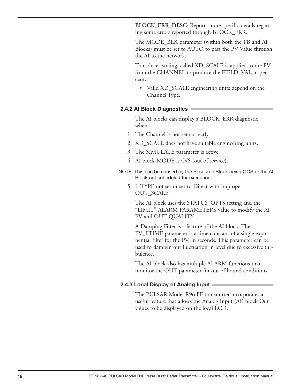**BLOCK\_ERR\_DESC**: Reports more specific details regarding some errors reported through BLOCK\_ERR.

The MODE\_BLK parameter (within both the TB and AI Blocks) must be set to AUTO to pass the PV Value through the AI to the network.

Transducer scaling, called XD\_SCALE is applied to the PV from the CHANNEL to produce the FIELD\_VAL in percent.

• Valid XD\_SCALE engineering units depend on the Channel Type.

#### **2.4.2 AI Block Diagnostics**

The AI blocks can display a BLOCK\_ERR diagnostic when:

- 1. The Channel is not set correctly.
- 2. XD\_SCALE does not have suitable engineering units.
- 3. The SIMULATE parameter is active.
- 4. AI block MODE is O/S (out of service).
- NOTE: This can be caused by the Resource Block being OOS or the AI Block not scheduled for execution.
	- 5. L-TYPE not set or set to Direct with improper OUT\_SCALE.

The AI block uses the STATUS\_OPTS setting and the "LIMIT" ALARM PARAMETERS value to modify the AI PV and OUT QUALITY.

A Damping Filter is a feature of the AI block. The PV\_FTIME parameter is a time constant of a single exponential filter for the PV, in seconds. This parameter can be used to dampen out fluctuation in level due to excessive turbulence.

The AI block also has multiple ALARM functions that monitor the OUT parameter for out of bound conditions.

#### **2.4.3 Local Display of Analog Input =**

The PULSAR Model R96 FF transmitter incorporates a useful feature that allows the Analog Input (AI) block Out values to be displayed on the local LCD.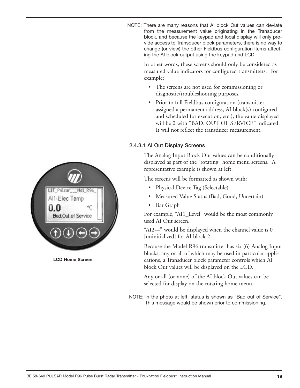

LIT Pulsar Mdl R96 Al1-Elec Temp οç **Bad: Out of Service** 

**LCD Home Screen** 

NOTE: There are many reasons that AI block Out values can deviate from the measurement value originating in the Transducer block, and because the keypad and local display will only provide access to Transducer block parameters, there is no way to change (or view) the other Fieldbus configuration items affecting the AI block output using the keypad and LCD.

> In other words, these screens should only be considered as measured value indicators for configured transmitters. For example:

- The screens are not used for commissioning or diagnostic/troubleshooting purposes.
- Prior to full Fieldbus configuration (transmitter assigned a permanent address, AI block(s) configured and scheduled for execution, etc.), the value displayed will be 0 with "BAD: OUT OF SERVICE" indicated. It will not reflect the transducer measurement.

### 2.4.3.1 AI Out Display Screens

The Analog Input Block Out values can be conditionally displayed as part of the "rotating" home menu screens. A representative example is shown at left.

The screens will be formatted as shown with:

- Physical Device Tag (Selectable)
- Measured Value Status (Bad, Good, Uncertain)
- Bar Graph

For example, "AI1\_Level" would be the most commonly used AI Out screen.

"AI2---" would be displayed when the channel value is 0 [uninitialized] for AI block 2.

Because the Model R96 transmitter has six (6) Analog Input blocks, any or all of which may be used in particular applications, a Transducer block parameter controls which AI block Out values will be displayed on the LCD.

Any or all (or none) of the AI block Out values can be selected for display on the rotating home menu.

NOTE: In the photo at left, status is shown as "Bad out of Service". This message would be shown prior to commissioning.

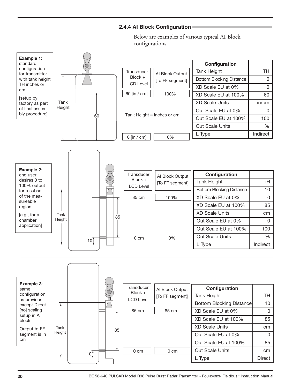#### **2.4.4 aI Block Configuration**

Below are examples of various typical AI Block configurations.

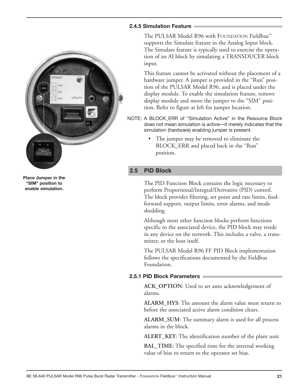

The PULSAR Model R96 with FOUNDATION Fieldbus™ supports the Simulate feature in the Analog Input block. The Simulate feature is typically used to exercise the operation of an AI block by simulating a TRANSDUCER block input.

This feature cannot be activated without the placement of a hardware jumper. A jumper is provided in the "Run" position of the PULSAR Model R96, and is placed under the display module. To enable the simulation feature, remove display module and move the jumper to the "SIM" position. Refer to figure at left for jumper location.

- NOTE: A BLOCK\_ERR of "Simulation Active" in the Resource Block does not mean simulation is active—it merely indicates that the simulation (hardware) enabling jumper is present.
	- The jumper may be removed to eliminate the BLOCK\_ERR and placed back in the "Run" position.

### **2.5 PID Block**

The PID Function Block contains the logic necessary to perform Proportional/Integral/Derivative (PID) control. The block provides filtering, set point and rate limits, feedforward support, output limits, error alarms, and mode shedding.

Although most other function blocks perform functions specific to the associated device, the PID block may reside in any device on the network. This includes a valve, a transmitter, or the host itself.

The PULSAR Model R96 FF PID Block implementation follows the specifications documented by the Fieldbus Foundation.

### **2.5.1 PId Block Parameters**

**ACK\_OPTION**: Used to set auto acknowledgement of alarms.

**ALARM\_HYS**: The amount the alarm value must return to before the associated active alarm condition clears.

**ALARM\_SUM**: The summary alarm is used for all process alarms in the block.

**ALERT\_KEY**: The identification number of the plant unit.

**BAL\_TIME**: The specified time for the internal working value of bias to return to the operator set bias.

**Place Jumper in the "SIM" position to enable simulation.**

OWER

 $^*$  RIN

UTILITY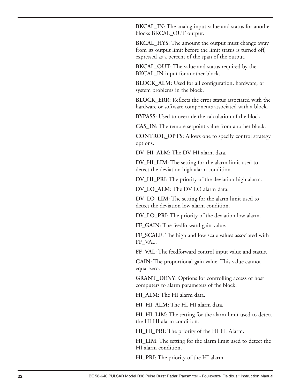**BKCAL\_IN**: The analog input value and status for another blocks BKCAL\_OUT output.

**BKCAL\_HYS**: The amount the output must change away from its output limit before the limit status is turned off, expressed as a percent of the span of the output.

**BKCAL\_OUT**: The value and status required by the BKCAL IN input for another block.

**BLOCK\_ALM**: Used for all configuration, hardware, or system problems in the block.

**BLOCK\_ERR**: Reflects the error status associated with the hardware or software components associated with a block.

**BYPASS**: Used to override the calculation of the block.

**CAS\_IN**: The remote setpoint value from another block.

**CONTROL\_OPTS**: Allows one to specify control strategy options.

**DV\_HI\_ALM**: The DV HI alarm data.

**DV\_HI\_LIM**: The setting for the alarm limit used to detect the deviation high alarm condition.

**DV\_HI\_PRI**: The priority of the deviation high alarm.

**DV\_LO\_ALM**: The DV LO alarm data.

**DV\_LO\_LIM**: The setting for the alarm limit used to detect the deviation low alarm condition.

**DV\_LO\_PRI**: The priority of the deviation low alarm.

**FF\_GAIN**: The feedforward gain value.

**FF\_SCALE**: The high and low scale values associated with FF\_VAL.

**FF\_VAL**: The feedforward control input value and status.

**GAIN**: The proportional gain value. This value cannot equal zero.

**GRANT\_DENY**: Options for controlling access of host computers to alarm parameters of the block.

**HI\_ALM**: The HI alarm data.

**HI\_HI\_ALM**: The HI HI alarm data.

**HI\_HI\_LIM**: The setting for the alarm limit used to detect the HI HI alarm condition.

**HI\_HI\_PRI**: The priority of the HI HI Alarm.

**HI\_LIM**: The setting for the alarm limit used to detect the HI alarm condition.

**HI\_PRI**: The priority of the HI alarm.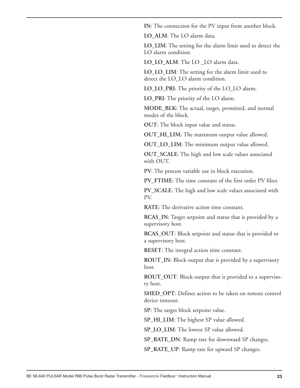**IN**: The connection for the PV input from another block.

**LO\_ALM**: The LO alarm data.

**LO\_LIM**: The setting for the alarm limit used to detect the LO alarm condition.

**LO\_LO\_ALM**: The LO \_LO alarm data.

**LO\_LO\_LIM**: The setting for the alarm limit used to detect the LO\_LO alarm condition.

**LO\_LO\_PRI**: The priority of the LO\_LO alarm.

**LO\_PRI**: The priority of the LO alarm.

**MODE\_BLK**: The actual, target, permitted, and normal modes of the block.

**OUT**: The block input value and status.

**OUT\_HI\_LIM**: The maximum output value allowed.

**OUT\_LO\_LIM**: The minimum output value allowed.

**OUT\_SCALE**: The high and low scale values associated with OUT.

**PV**: The process variable use in block execution.

PV\_FTIME: The time constant of the first order PV filter.

**PV\_SCALE**: The high and low scale values associated with PV.

**RATE**: The derivative action time constant.

**RCAS\_IN**: Target setpoint and status that is provided by a supervisory host.

**RCAS\_OUT**: Block setpoint and status that is provided to a supervisory host.

**RESET**: The integral action time constant.

**ROUT\_IN**: Block output that is provided by a supervisory host.

**ROUT\_OUT**: Block output that is provided to a supervisory host.

**SHED\_OPT**: Defines action to be taken on remote control device timeout.

**SP**: The target block setpoint value.

**SP\_HI\_LIM**: The highest SP value allowed.

**SP\_LO\_LIM:** The lowest SP value allowed.

**SP\_RATE\_DN**: Ramp rate for downward SP changes.

**SP\_RATE\_UP**: Ramp rate for upward SP changes.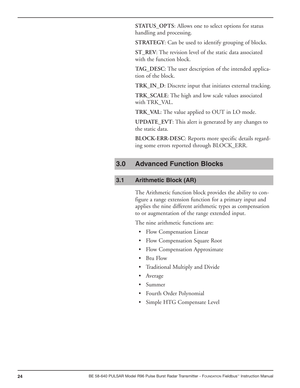**STATUS\_OPTS**: Allows one to select options for status handling and processing.

**STRATEGY**: Can be used to identify grouping of blocks.

**ST\_REV**: The revision level of the static data associated with the function block.

**TAG\_DESC**: The user description of the intended application of the block.

**TRK\_IN\_D**: Discrete input that initiates external tracking.

**TRK\_SCALE**: The high and low scale values associated with TRK\_VAL.

**TRK\_VAL**: The value applied to OUT in LO mode.

**UPDATE\_EVT**: This alert is generated by any changes to the static data.

**BLOCK-ERR-DESC**: Reports more specific details regarding some errors reported through BLOCK\_ERR.

### **3.0 Advanced Function Blocks**

#### **3.1 Arithmetic Block (AR)**

The Arithmetic function block provides the ability to configure a range extension function for a primary input and applies the nine different arithmetic types as compensation to or augmentation of the range extended input.

The nine arithmetic functions are:

- Flow Compensation Linear
- Flow Compensation Square Root
- Flow Compensation Approximate
- Btu Flow
- Traditional Multiply and Divide
- **Average**
- Summer
- Fourth Order Polynomial
- Simple HTG Compensate Level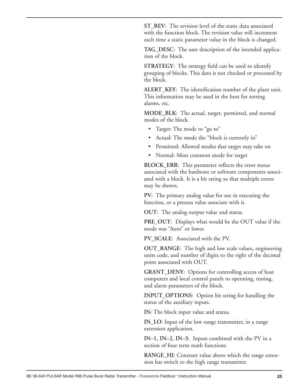**ST\_REV**: The revision level of the static data associated with the function block. The revision value will increment each time a static parameter value in the block is changed.

**TAG\_DESC**: The user description of the intended application of the block.

**STRATEGY**: The strategy field can be used to identify grouping of blocks. This data is not checked or processed by the block.

**ALERT\_KEY**: The identification number of the plant unit. This information may be used in the host for sorting alarms, etc.

**MODE\_BLK**: The actual, target, permitted, and normal modes of the block.

- Target: The mode to "go to"
- Actual: The mode the "block is currently in"
- Permitted: Allowed modes that target may take on
- Normal: Most common mode for target

**BLOCK\_ERR**: This parameter reflects the error status associated with the hardware or software components associated with a block. It is a bit string so that multiple errors may be shown.

**PV**: The primary analog value for use in executing the function, or a process value associate with it.

**OUT**: The analog output value and status.

**PRE\_OUT**: Displays what would be the OUT value if the mode was "Auto" or lower.

**PV\_SCALE**: Associated with the PV.

**OUT\_RANGE**: The high and low scale values, engineering units code, and number of digits to the right of the decimal point associated with OUT.

**GRANT\_DENY**: Options for controlling access of host computers and local control panels to operating, tuning, and alarm parameters of the block.

**INPUT\_OPTIONS**: Option bit string for handling the status of the auxiliary inputs.

**IN**: The block input value and status.

**IN\_LO**: Input of the low range transmitter, in a range extension application.

**IN–1, IN–2, IN–3**: Inputs combined with the PV in a section of four term math functions.

**RANGE\_HI**: Constant value above which the range extension has switch to the high range transmitter.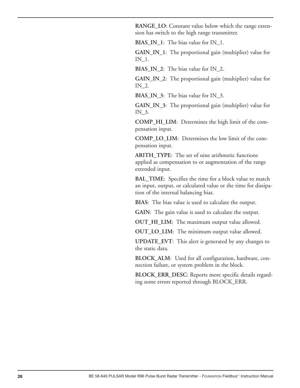**RANGE\_LO**: Constant value below which the range extension has switch to the high range transmitter.

**BIAS\_IN\_1**: The bias value for IN\_1.

**GAIN\_IN\_1**: The proportional gain (multiplier) value for IN\_1.

**BIAS\_IN\_2**: The bias value for IN\_2.

**GAIN\_IN\_2**: The proportional gain (multiplier) value for IN\_2.

**BIAS\_IN\_3**: The bias value for IN\_3.

**GAIN\_IN\_3**: The proportional gain (multiplier) value for IN\_3.

**COMP\_HI\_LIM**: Determines the high limit of the compensation input.

**COMP\_LO\_LIM**: Determines the low limit of the compensation input.

**ARITH\_TYPE**: The set of nine arithmetic functions applied as compensation to or augmentation of the range extended input.

**BAL\_TIME**: Specifies the time for a block value to match an input, output, or calculated value or the time for dissipation of the internal balancing bias.

**BIAS**: The bias value is used to calculate the output.

**GAIN**: The gain value is used to calculate the output.

**OUT\_HI\_LIM**: The maximum output value allowed.

**OUT\_LO\_LIM**: The minimum output value allowed.

**UPDATE\_EVT**: This alert is generated by any changes to the static data.

**BLOCK\_ALM**: Used for all configuration, hardware, connection failure, or system problem in the block.

**BLOCK\_ERR\_DESC**: Reports more specific details regarding some errors reported through BLOCK\_ERR.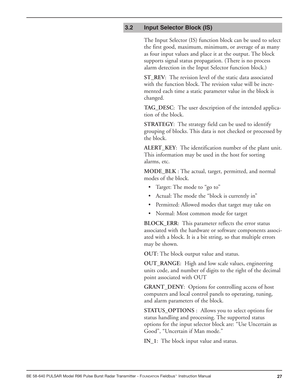#### **3.2 Input Selector Block (IS)**

The Input Selector (IS) function block can be used to select the first good, maximum, minimum, or average of as many as four input values and place it at the output. The block supports signal status propagation. (There is no process alarm detection in the Input Selector function block.)

**ST\_REV**: The revision level of the static data associated with the function block. The revision value will be incremented each time a static parameter value in the block is changed.

**TAG\_DESC**: The user description of the intended application of the block.

**STRATEGY**: The strategy field can be used to identify grouping of blocks. This data is not checked or processed by the block.

**ALERT\_KEY**: The identification number of the plant unit. This information may be used in the host for sorting alarms, etc.

**MODE\_BLK** : The actual, target, permitted, and normal modes of the block.

- Target: The mode to "go to"
- Actual: The mode the "block is currently in"
- Permitted: Allowed modes that target may take on
- Normal: Most common mode for target

**BLOCK\_ERR**: This parameter reflects the error status associated with the hardware or software components associated with a block. It is a bit string, so that multiple errors may be shown.

**OUT**: The block output value and status.

**OUT\_RANGE**: High and low scale values, engineering units code, and number of digits to the right of the decimal point associated with OUT

**GRANT\_DENY**: Options for controlling access of host computers and local control panels to operating, tuning, and alarm parameters of the block.

**STATUS\_OPTIONS** : Allows you to select options for status handling and processing. The supported status options for the input selector block are: "Use Uncertain as Good", "Uncertain if Man mode."

**IN\_1**: The block input value and status.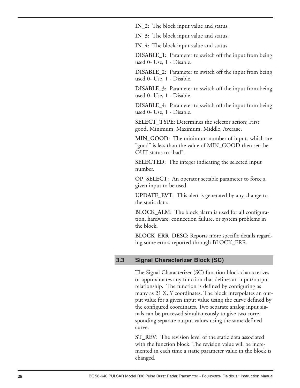**IN\_2**: The block input value and status.

**IN\_3**: The block input value and status.

**IN\_4**: The block input value and status.

**DISABLE\_1**: Parameter to switch off the input from being used 0- Use, 1 - Disable.

**DISABLE\_2**: Parameter to switch off the input from being used 0- Use, 1 - Disable.

**DISABLE\_3**: Parameter to switch off the input from being used 0- Use, 1 - Disable.

**DISABLE\_4**: Parameter to switch off the input from being used 0- Use, 1 - Disable.

**SELECT\_TYPE**: Determines the selector action; First good, Minimum, Maximum, Middle, Average.

**MIN\_GOOD**: The minimum number of inputs which are "good" is less than the value of MIN\_GOOD then set the OUT status to "bad".

**SELECTED**: The integer indicating the selected input number.

**OP\_SELECT**: An operator settable parameter to force a given input to be used.

**UPDATE\_EVT**: This alert is generated by any change to the static data.

**BLOCK\_ALM**: The block alarm is used for all configuration, hardware, connection failure, or system problems in the block.

**BLOCK\_ERR\_DESC**: Reports more specific details regarding some errors reported through BLOCK\_ERR.

#### **3.3 Signal Characterizer Block (SC)**

The Signal Characterizer (SC) function block characterizes or approximates any function that defines an input/output relationship. The function is defined by configuring as many as 21 X, Y coordinates. The block interpolates an output value for a given input value using the curve defined by the configured coordinates. Two separate analog input signals can be processed simultaneously to give two corresponding separate output values using the same defined curve.

**ST\_REV**: The revision level of the static data associated with the function block. The revision value will be incremented in each time a static parameter value in the block is changed.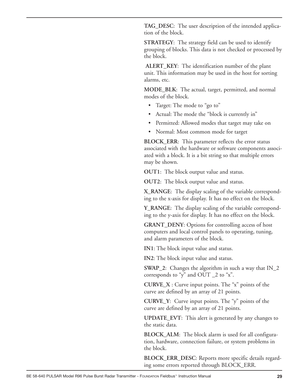**TAG\_DESC**: The user description of the intended application of the block.

**STRATEGY**: The strategy field can be used to identify grouping of blocks. This data is not checked or processed by the block.

**ALERT\_KEY**: The identification number of the plant unit. This information may be used in the host for sorting alarms, etc.

**MODE\_BLK**: The actual, target, permitted, and normal modes of the block.

- Target: The mode to "go to"
- Actual: The mode the "block is currently in"
- Permitted: Allowed modes that target may take on
- Normal: Most common mode for target

**BLOCK\_ERR**: This parameter reflects the error status associated with the hardware or software components associated with a block. It is a bit string so that multiple errors may be shown.

**OUT1**: The block output value and status.

**OUT2**: The block output value and status.

**X\_RANGE**: The display scaling of the variable corresponding to the x-axis for display. It has no effect on the block.

**Y\_RANGE**: The display scaling of the variable corresponding to the y-axis for display. It has no effect on the block.

**GRANT\_DENY**: Options for controlling access of host computers and local control panels to operating, tuning, and alarm parameters of the block.

**IN1**: The block input value and status.

**IN2**: The block input value and status.

**SWAP\_2**: Changes the algorithm in such a way that IN\_2 corresponds to "y" and OUT \_2 to "x".

**CURVE\_X** : Curve input points. The "x" points of the curve are defined by an array of 21 points.

**CURVE\_Y**: Curve input points. The "y" points of the curve are defined by an array of 21 points.

**UPDATE\_EVT**: This alert is generated by any changes to the static data.

**BLOCK\_ALM**: The block alarm is used for all configuration, hardware, connection failure, or system problems in the block.

**BLOCK\_ERR\_DESC**: Reports more specific details regarding some errors reported through BLOCK\_ERR.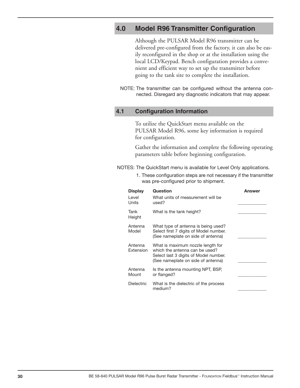### **4.0 Model R96 Transmitter Configuration**

Although the PULSAR Model R96 transmitter can be delivered pre-configured from the factory, it can also be easily reconfigured in the shop or at the installation using the local LCD/Keypad. Bench configuration provides a convenient and efficient way to set up the transmitter before going to the tank site to complete the installation.

NOTE: The transmitter can be configured without the antenna connected. Disregard any diagnostic indicators that may appear.

#### **4.1 Configuration Information**

To utilize the QuickStart menu available on the PULSAR Model R96, some key information is required for configuration.

Gather the information and complete the following operating parameters table before beginning configuration.

NOTES: The QuickStart menu is available for Level Only applications.

1. These configuration steps are not necessary if the transmitter was pre-configured prior to shipment.

| <b>Display</b><br>I evel<br>Units | Question<br>What units of measurement will be<br>used?                                                                                             | Answer |
|-----------------------------------|----------------------------------------------------------------------------------------------------------------------------------------------------|--------|
| Tank<br>Height                    | What is the tank height?                                                                                                                           |        |
| Antenna<br>Model                  | What type of antenna is being used?<br>Select first 7 digits of Model number.<br>(See nameplate on side of antenna)                                |        |
| Antenna<br>Extension              | What is maximum nozzle length for<br>which the antenna can be used?<br>Select last 3 digits of Model number.<br>(See nameplate on side of antenna) |        |
| Antenna<br>Mount                  | Is the antenna mounting NPT, BSP,<br>or flanged?                                                                                                   |        |
| <b>Dielectric</b>                 | What is the dielectric of the process<br>medium?                                                                                                   |        |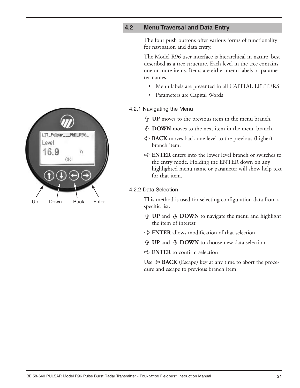#### **4.2 Menu Traversal and Data Entry**

The four push buttons offer various forms of functionality for navigation and data entry.

The Model R96 user interface is hierarchical in nature, best described as a tree structure. Each level in the tree contains one or more items. Items are either menu labels or parameter names.

- Menu labels are presented in all CAPITAL LETTERS
- Parameters are Capital Words

#### 4.2.1 Navigating the Menu

- **UP** moves to the previous item in the menu branch. ➪
- $\bigcup$  **DOWN** moves to the next item in the menu branch.
- **BACK** moves back one level to the previous (higher) ➪ branch item.
- **ENTER** enters into the lower level branch or switches to ➪ the entry mode. Holding the ENTER down on any highlighted menu name or parameter will show help text for that item.

#### 4.2.2 Data Selection

This method is used for selecting configuration data from a specific list.

- $\mathbf{\hat{y}}$  UP and  $\mathbf{\hat{\psi}}$  DOWN to navigate the menu and highlight the item of interest
- **ENTER** allows modification of that selection ➪
- $\hat{P}$  UP and  $\hat{\Phi}$  DOWN to choose new data selection
- **ENTER** to confirm selection ➪

Use  $\triangleleft$  **BACK** (Escape) key at any time to abort the procedure and escape to previous branch item.

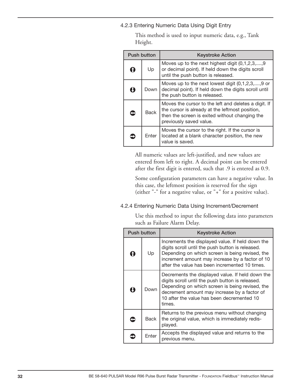4.2.3 Entering Numeric Data Using Digit Entry

| <b>Push button</b>                        |             | <b>Keystroke Action</b>                                                                                                                                                              |  |  |
|-------------------------------------------|-------------|--------------------------------------------------------------------------------------------------------------------------------------------------------------------------------------|--|--|
| Up<br>$\Omega$                            |             | Moves up to the next highest digit (0,1,2,3,,9)<br>or decimal point). If held down the digits scroll<br>until the push button is released.                                           |  |  |
| U<br>Down<br>the push button is released. |             | Moves up to the next lowest digit $(0,1,2,3,,9)$ or<br>decimal point). If held down the digits scroll until                                                                          |  |  |
| G                                         | <b>Back</b> | Moves the cursor to the left and deletes a digit. If<br>the cursor is already at the leftmost position,<br>then the screen is exited without changing the<br>previously saved value. |  |  |
|                                           | Enter       | Moves the cursor to the right. If the cursor is<br>located at a blank character position, the new<br>value is saved.                                                                 |  |  |

This method is used to input numeric data, e.g., Tank Height.

All numeric values are left-justified, and new values are entered from left to right. A decimal point can be entered after the first digit is entered, such that .9 is entered as 0.9.

Some configuration parameters can have a negative value. In this case, the leftmost position is reserved for the sign (either "-" for a negative value, or "+" for a positive value).

4.2.4 Entering Numeric Data Using Increment/Decrement

Use this method to input the following data into parameters such as Failure Alarm Delay.

| <b>Push button</b> |      | <b>Keystroke Action</b>                                                                                                                                                                                                                                         |
|--------------------|------|-----------------------------------------------------------------------------------------------------------------------------------------------------------------------------------------------------------------------------------------------------------------|
| Up<br>Ŧ            |      | Increments the displayed value. If held down the<br>digits scroll until the push button is released.<br>Depending on which screen is being revised, the<br>increment amount may increase by a factor of 10<br>after the value has been incremented 10 times.    |
| O                  | Down | Decrements the displayed value. If held down the<br>digits scroll until the push button is released.<br>Depending on which screen is being revised, the<br>decrement amount may increase by a factor of<br>10 after the value has been decremented 10<br>times. |
| <b>Back</b>        |      | Returns to the previous menu without changing<br>the original value, which is immediately redis-<br>played.                                                                                                                                                     |
| Enter              |      | Accepts the displayed value and returns to the<br>previous menu.                                                                                                                                                                                                |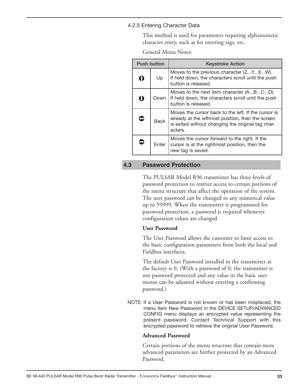#### 4.2.5 Entering Character Data

This method is used for parameters requiring alphanumeric character entry, such as for entering tags, etc.

General Menu Notes:

|                                  | <b>Push button</b> |                                                                                                | <b>Keystroke Action</b>                                                                                                                                                  |
|----------------------------------|--------------------|------------------------------------------------------------------------------------------------|--------------------------------------------------------------------------------------------------------------------------------------------------------------------------|
|                                  | $\Omega$<br>Up     |                                                                                                | Moves to the previous character (ZYXW).<br>If held down, the characters scroll until the push<br>button is released.                                                     |
| Ô<br>Down<br>button is released. |                    | Moves to the next item character (ABCD).<br>If held down, the characters scroll until the push |                                                                                                                                                                          |
|                                  | $\bullet$<br>Back  |                                                                                                | Moves the cursor back to the left. If the cursor is<br>already at the leftmost position, then the screen<br>is exited without changing the original tag char-<br>acters. |
|                                  | ⊃<br>Enter         |                                                                                                | Moves the cursor forward to the right. If the<br>cursor is at the rightmost position, then the<br>new tag is saved.                                                      |

#### **4.3 Password Protection**

The PULSAR Model R96 transmitter has three levels of password protection to restrict access to certain portions of the menu structure that affect the operation of the system. The user password can be changed to any numerical value up to 59999. When the transmitter is programmed for password protection, a password is required whenever configuration values are changed.

#### **User Password**

The User Password allows the customer to limit access to the basic configuration parameters from both the local and Fieldbus interfaces.

The default User Password installed in the transmitter at the factory is 0. (With a password of 0, the transmitter is not password protected and any value in the basic user menus can be adjusted without entering a confirming password.)

NOTE: If a User Password is not known or has been misplaced, the menu item New Password in the DEVICE SETUP/ADVANCED CONFIG menu displays an encrypted value representing the present password. Contact Technical Support with this encrypted password to retrieve the original User Password.

#### **Advanced Password**

Certain portions of the menu structure that contain more advanced parameters are further protected by an Advanced Password.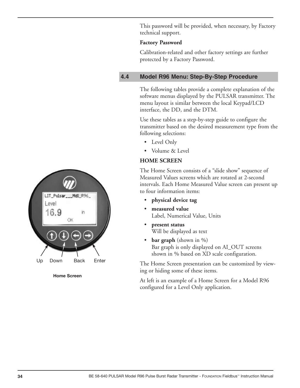This password will be provided, when necessary, by Factory technical support.

#### **Factory Password**

Calibration-related and other factory settings are further protected by a Factory Password.

### **4.4 Model R96 Menu: Step-By-Step Procedure**

The following tables provide a complete explanation of the software menus displayed by the PULSAR transmitter. The menu layout is similar between the local Keypad/LCD interface, the DD, and the DTM.

Use these tables as a step-by-step guide to configure the transmitter based on the desired measurement type from the following selections:

- Level Only
- Volume & Level

### **HOME SCREEN**

The Home Screen consists of a "slide show" sequence of Measured Values screens which are rotated at 2-second intervals. Each Home Measured Value screen can present up to four information items:

- **physical device tag**
- **measured value** Label, Numerical Value, Units
- **present status** Will be displayed as text
- **bar graph** (shown in %) Bar graph is only displayed on AI\_OUT screens shown in % based on XD scale configuration.

The Home Screen presentation can be customized by viewing or hiding some of these items.

At left is an example of a Home Screen for a Model R96 configured for a Level Only application.



**Home Screen**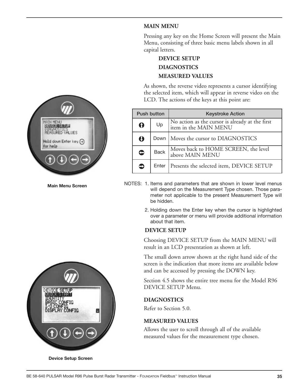

**Main Menu Screen**



**device Setup Screen**

#### **MAIN MENU**

Pressing any key on the Home Screen will present the Main Menu, consisting of three basic menu labels shown in all capital letters.

### **DEVICE SETUP DIAGNOSTICS MEASURED VALUES**

As shown, the reverse video represents a cursor identifying the selected item, which will appear in reverse video on the LCD. The actions of the keys at this point are:

| <b>Push button</b> |                                                   | <b>Keystroke Action</b>                                                  |  |
|--------------------|---------------------------------------------------|--------------------------------------------------------------------------|--|
| Up<br>∩            |                                                   | No action as the cursor is already at the first<br>item in the MAIN MENU |  |
| Ō                  |                                                   | Down   Moves the cursor to DIAGNOSTICS                                   |  |
| $\bullet$          | <b>Back</b>                                       | Moves back to HOME SCREEN, the level<br>above MAIN MENU                  |  |
| c                  | Presents the selected item, DEVICE SETUP<br>Enter |                                                                          |  |

NOTES: 1. Items and parameters that are shown in lower level menus will depend on the Measurement Type chosen. Those parameter not applicable to the present Measurement Type will be hidden.

> 2. Holding down the Enter key when the cursor is highlighted over a parameter or menu will provide additional information about that item.

#### **DEVICE SETUP**

Choosing DEVICE SETUP from the MAIN MENU will result in an LCD presentation as shown at left.

The small down arrow shown at the right hand side of the screen is the indication that more items are available below and can be accessed by pressing the DOWN key.

Section 4.5 shows the entire tree menu for the Model R96 DEVICE SETUP Menu.

#### **DIAGNOSTICS**

Refer to Section 5.0.

### **MEASURED VALUES**

Allows the user to scroll through all of the available measured values for the measurement type chosen.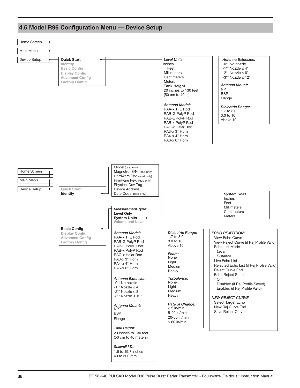#### Home Screen  $\bullet$ Main Menu  $\bullet$ Device Setup  $\longrightarrow$  Quick Start *Level Units: Antenna Extension:* -0\*\* No nozzle **Identity** Inches **Basic Config** Feet  $-1***$  Nozzle  $\leq 4"$ Millimeters  $-2**$  Nozzle  $\leq 8"$ **Display Config**  $-3**$  Nozzle  $\leq 12"$ **Advanced Config Centimeters Factory Config** Meters **Tank Height** *Antenna Mount:* NPT 20 inches to 130 feet **BSP** (50 cm to 40 m) Flange *Antenna Model: Dielectric Range:* RAA-x TFE Rod 1.7 to 3.0 RAB-G PolyP Rod 3.0 to 10 RAB-L PolyP Rod Above 10 RAB-x PolyP Rod RAC-x Halar Rod RA3-x 3" Horn RA4-x 4" Horn RA6-x 6" Horn Model (read only) Home Screen  $\bullet$ Magnetrol S/N (read only) Hardware Rev. (read only) Main Menu ۴ Firmware Rev. (read only) Physical Dev Tag Device Setup  $\longrightarrow$  Quick Start Device Address **Identity** Date Code (read only) *System Units:* Inches Feet Millimeters *Measurement Type:* **Centimeters Level Only** Meters **System Units Volume and Level Basic Config** *Antenna Model: Dielectric Range: ECHO REJECTION:* **Display Config** 1.7 to 3.0 RAA-x TFE Rod **Advanced Config** View Echo Curve 3.0 to 10 **Factory Config** RAB-G PolyP Rod View Reject Curve (if Rej Profile Valid) RAB-L PolyP Rod Above 10 Echo List Mode RAB-x PolyP Rod *Level Foam:* RAC-x Halar Rod  *Distance* None RA3-x 3" Horn Live Echo List Light RA4-x 4" Horn Rejected Echo List (if Rej Profile Valid) Medium RA6-x 6" Horn Reject Curve End Heavy Echo Reject State *Turbulence: Antenna Extension:* **Off** -0\*\* No nozzle None Disabled (if Rej Profile Saved)  $-1***$  Nozzle  $\leq 4"$ Light Enabled (if Rej Profile Valid) Medium  $-2**$  Nozzle  $\leq 8"$ -3\*\* Nozzle ≤ 12" Heavy *NEW REJECT CURVE* Select Target Echo *Rate of Change: Antenna Mount:* New Rej Curve End  $< 5$  in/min NPT Save Reject Curve 5-20 in/min **BSP** 20-60 in/min Flange > 60 in/min *Tank Height:* 20 inches to 130 feet (50 cm to 40 meters)*Stillwell I.D.:*

1.6 to 19.7 inches 40 to 500 mm

### **4.5 Model R96 Configuration Menu — Device Setup**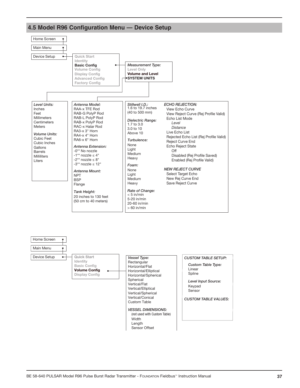

### **4.5 Model R96 Configuration Menu — Device Setup**



Home Screen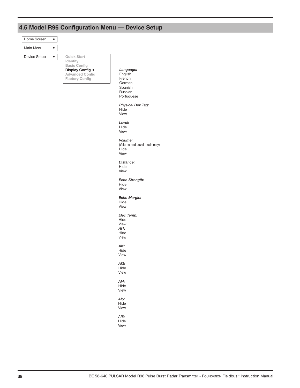

## **4.5 Model R96 Configuration Menu — Device Setup**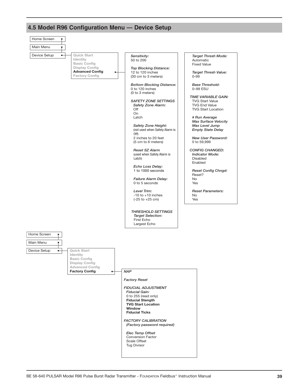

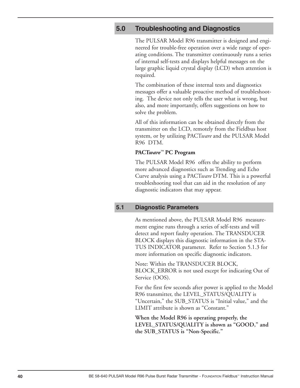### **5.0 Troubleshooting and Diagnostics**

The PULSAR Model R96 transmitter is designed and engineered for trouble-free operation over a wide range of operating conditions. The transmitter continuously runs a series of internal self-tests and displays helpful messages on the large graphic liquid crystal display (LCD) when attention is required.

The combination of these internal tests and diagnostics messages offer a valuable proactive method of troubleshooting. The device not only tells the user what is wrong, but also, and more importantly, offers suggestions on how to solve the problem.

All of this information can be obtained directly from the transmitter on the LCD, remotely from the Fieldbus host system, or by utilizing PACT*ware* and the PULSAR Model R96 DTM.

#### **PACT***ware™* **PC Program**

The PULSAR Model R96 offers the ability to perform more advanced diagnostics such as Trending and Echo Curve analysis using a PACT*ware* DTM. This is a powerful troubleshooting tool that can aid in the resolution of any diagnostic indicators that may appear.

#### **5.1 Diagnostic Parameters**

As mentioned above, the PULSAR Model R96 measurement engine runs through a series of self-tests and will detect and report faulty operation. The TRANSDUCER BLOCK displays this diagnostic information in the STA-TUS INDICATOR parameter. Refer to Section 5.1.3 for more information on specific diagnostic indicators.

Note: Within the TRANSDUCER BLOCK, BLOCK\_ERROR is not used except for indicating Out of Service (OOS).

For the first few seconds after power is applied to the Model R96 transmitter, the LEVEL\_STATUS/QUALITY is "Uncertain," the SUB\_STATUS is "Initial value," and the LIMIT attribute is shown as "Constant."

**When the Model R96 is operating properly, the LEVEL\_STATUS/QUALITY is shown as "GOOD," and the SUB\_STATUS is "Non-Specific."**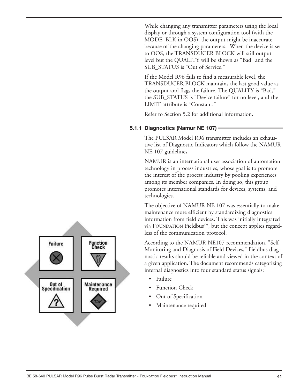While changing any transmitter parameters using the local display or through a system configuration tool (with the MODE\_BLK in OOS), the output might be inaccurate because of the changing parameters. When the device is set to OOS, the TRANSDUCER BLOCK will still output level but the QUALITY will be shown as "Bad" and the SUB\_STATUS is "Out of Service."

If the Model R96 fails to find a measurable level, the TRANSDUCER BLOCK maintains the last good value as the output and flags the failure. The QUALITY is "Bad," the SUB\_STATUS is "Device failure" for no level, and the LIMIT attribute is "Constant."

Refer to Section 5.2 for additional information.

#### **5.1.1 diagnostics (namur nE 107)**

The PULSAR Model R96 transmitter includes an exhaustive list of Diagnostic Indicators which follow the NAMUR NE 107 guidelines.

NAMUR is an international user association of automation technology in process industries, whose goal is to promote the interest of the process industry by pooling experiences among its member companies. In doing so, this group promotes international standards for devices, systems, and technologies.

The objective of NAMUR NE 107 was essentially to make maintenance more efficient by standardizing diagnostics information from field devices. This was initially integrated via FOUNDATION Fieldbus™, but the concept applies regardless of the communication protocol.

According to the NAMUR NE107 recommendation, "Self Monitoring and Diagnosis of Field Devices," Fieldbus diagnostic results should be reliable and viewed in the context of a given application. The document recommends categorizing internal diagnostics into four standard status signals:

- Failure
- **Function Check**
- Out of Specification
- Maintenance required

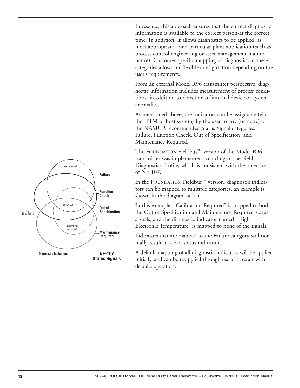In essence, this approach ensures that the correct diagnostic information is available to the correct person-at the correct time. In addition, it allows diagnostics to be applied, as most appropriate, for a particular plant application (such as process control engineering or asset management maintenance). Customer specific mapping of diagnostics to these categories allows for flexible configuration depending on the user's requirements.

From an external Model R96 transmitter perspective, diagnostic information includes measurement of process conditions, in addition to detection of internal device or system anomalies.

As mentioned above, the indicators can be assignable (via the DTM or host system) by the user to any (or none) of the NAMUR recommended Status Signal categories: Failure, Function Check, Out of Specification, and Maintenance Required.

The FOUNDATION Fieldbus™ version of the Model R96 transmitter was implemented according to the Field Diagnostics Profile, which is consistent with the objectives of NE 107.

In the FOUNDATION Fieldbus™ version, diagnostic indicators can be mapped to multiple categories, an example is shown in the diagram at left.

In this example, "Calibration Required" is mapped to both the Out of Specification and Maintenance Required status signals, and the diagnostic indicator named "High Electronic Temperature" is mapped to none of the signals.

Indicators that are mapped to the Failure category will normally result in a bad status indication.

A default mapping of all diagnostic indicators will be applied initially, and can be re-applied through use of a restart with defaults operation.

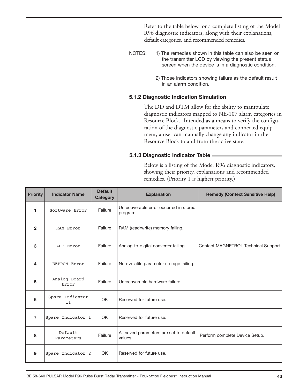Refer to the table below for a complete listing of the Model R96 diagnostic indicators, along with their explanations, default categories, and recommended remedies.

- NOTES: 1) The remedies shown in this table can also be seen on the transmitter LCD by viewing the present status screen when the device is in a diagnostic condition.
	- 2) Those indicators showing failure as the default result in an alarm condition.

#### **5.1.2 Diagnostic Indication Simulation**

The DD and DTM allow for the ability to manipulate diagnostic indicators mapped to NE-107 alarm categories in Resource Block. Intended as a means to verify the configuration of the diagnostic parameters and connected equipment, a user can manually change any indicator in the Resource Block to and from the active state.

#### **5.1.3 Diagnostic Indicator Table**

Below is a listing of the Model R96 diagnostic indicators, showing their priority, explanations and recommended remedies. (Priority 1 is highest priority.)

| <b>Priority</b> | <b>Indicator Name</b> | <b>Default</b><br><b>Category</b> | <b>Explanation</b>                                 | <b>Remedy (Context Sensitive Help)</b> |
|-----------------|-----------------------|-----------------------------------|----------------------------------------------------|----------------------------------------|
| 1               | Software Error        | Failure                           | Unrecoverable error occurred in stored<br>program. |                                        |
| $\overline{2}$  | RAM Error             | Failure                           | RAM (read/write) memory failing.                   |                                        |
| 3               | ADC Error             | Failure                           | Analog-to-digital converter failing.               | Contact MAGNETROL Technical Support.   |
| 4               | EEPROM Error          | Failure                           | Non-volatile parameter storage failing.            |                                        |
| 5               | Analog Board<br>Error | Failure                           | Unrecoverable hardware failure.                    |                                        |
| 6               | Spare Indicator<br>11 | <b>OK</b>                         | Reserved for future use.                           |                                        |
| $\overline{7}$  | Spare Indicator 1     | OK.                               | Reserved for future use.                           |                                        |
| 8               | Default<br>Parameters | Failure                           | All saved parameters are set to default<br>values. | Perform complete Device Setup.         |
| 9               | Spare Indicator 2     | OK                                | Reserved for future use.                           |                                        |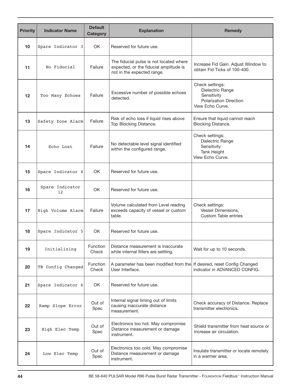| <b>Priority</b> | <b>Indicator Name</b> | <b>Default</b><br><b>Category</b> | <b>Explanation</b>                                                                                              | <b>Remedy</b>                                                                                           |
|-----------------|-----------------------|-----------------------------------|-----------------------------------------------------------------------------------------------------------------|---------------------------------------------------------------------------------------------------------|
| 10              | Spare Indicator 3     | <b>OK</b>                         | Reserved for future use.                                                                                        |                                                                                                         |
| 11              | No Fiducial           | Failure                           | The fiducial pulse is not located where<br>expected, or the fiducial amplitude is<br>not in the expected range. | Increase Fid Gain. Adjust Window to<br>obtain Fid Ticks of 100-400.                                     |
| $12 \,$         | Too Many Echoes       | Failure                           | Excessive number of possible echoes<br>detected.                                                                | Check settings:<br>Dielectric Range<br>Sensitivity<br><b>Polarization Direction</b><br>View Echo Curve. |
| 13              | Safety Zone Alarm     | Failure                           | Risk of echo loss if liquid rises above<br>Top Blocking Distance.                                               | Ensure that liquid cannot reach<br><b>Blocking Distance.</b>                                            |
| 14              | Echo Lost             | Failure                           | No detectable level signal identified<br>within the configured range.                                           | Check settings:<br>Dielectric Range<br>Sensitivity<br><b>Tank Height</b><br>View Echo Curve.            |
| 15              | Spare Indicator 4     | <b>OK</b>                         | Reserved for future use.                                                                                        |                                                                                                         |
| 16              | Spare Indicator<br>12 | OK.                               | Reserved for future use.                                                                                        |                                                                                                         |
| 17              | High Volume Alarm     | Failure                           | Volume calculated from Level reading<br>exceeds capacity of vessel or custom<br>table.                          | Check settings:<br>Vessel Dimensions,<br><b>Custom Table entries</b>                                    |
| 18              | Spare Indicator 5     | OK.                               | Reserved for future use.                                                                                        |                                                                                                         |
| 19              | Initializing          | Function<br>Check                 | Distance measurement is inaccurate<br>while internal filters are settling.                                      | Wait for up to 10 seconds.                                                                              |
| 20              | TB Config Changed     | Function<br>Check                 | A parameter has been modified from the<br>User Interface.                                                       | If desired, reset Config Changed<br>indicator in ADVANCED CONFIG.                                       |
| 21              | Spare Indicator 6     | <b>OK</b>                         | Reserved for future use.                                                                                        |                                                                                                         |
| 22              | Ramp Slope Error      | Out of<br>Spec                    | Internal signal timing out of limits<br>causing inaccurate distance<br>measurement.                             | Check accuracy of Distance. Replace<br>transmitter electronics.                                         |
| 23              | High Elec Temp        | Out of<br>Spec                    | Electronics too hot. May compromise<br>Distance measurement or damage<br>instrument.                            | Shield transmitter from heat source or<br>increase air circulation.                                     |
| 24              | Low Elec Temp         | Out of<br>Spec                    | Electronics too cold. May compromise<br>Distance measurement or damage<br>instrument.                           | Insulate transmitter or locate remotely<br>in a warmer area.                                            |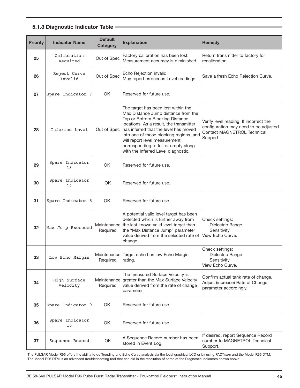#### **5.1.3 Diagnostic Indicator Table**

| <b>Priority</b> | <b>Indicator Name</b>    | <b>Default</b><br>Category | <b>Explanation</b>                                                                                                                                                                                                                                                                                                                                           | <b>Remedy</b>                                                                                                               |
|-----------------|--------------------------|----------------------------|--------------------------------------------------------------------------------------------------------------------------------------------------------------------------------------------------------------------------------------------------------------------------------------------------------------------------------------------------------------|-----------------------------------------------------------------------------------------------------------------------------|
| 25              | Calibration<br>Required  | Out of Spec                | Factory calibration has been lost.<br>Measurement accuracy is diminished.                                                                                                                                                                                                                                                                                    | Return transmitter to factory for<br>recalibration.                                                                         |
| 26              | Reject Curve<br>Invalid  | Out of Spec                | Echo Rejection invalid.<br>May report erroneous Level readings.                                                                                                                                                                                                                                                                                              | Save a fresh Echo Rejection Curve.                                                                                          |
| 27              | Spare Indicator 7        | <b>OK</b>                  | Reserved for future use.                                                                                                                                                                                                                                                                                                                                     |                                                                                                                             |
| 28              | Inferred Level           | Out of Spec                | The target has been lost within the<br>Max Distance Jump distance from the<br>Top or Bottom Blocking Distance<br>locations. As a result, the transmitter<br>has inferred that the level has moved<br>into one of those blocking regions, and<br>will report level measurement<br>corresponding to full or empty along<br>with the Inferred Level diagnostic. | Verify level reading. If incorrect the<br>configuration may need to be adjusted.<br>Contact MAGNETROL Technical<br>Support. |
| 29              | Spare Indicator<br>13    | <b>OK</b>                  | Reserved for future use.                                                                                                                                                                                                                                                                                                                                     |                                                                                                                             |
| 30              | Spare Indicator<br>14    | OK                         | Reserved for future use.                                                                                                                                                                                                                                                                                                                                     |                                                                                                                             |
| 31              | Spare Indicator 8        | <b>OK</b>                  | Reserved for future use.                                                                                                                                                                                                                                                                                                                                     |                                                                                                                             |
| 32              | Max Jump Exceeded        | Required                   | A potential valid level target has been<br>detected which is further away from<br>Maintenance the last known valid level target than<br>the "Max Distance Jump" parameter<br>value derived from the selected rate of<br>change.                                                                                                                              | Check settings:<br>Dielectric Range<br>Sensitivity<br>View Echo Curve.                                                      |
| 33              | Low Echo Margin          | Required                   | Maintenance Target echo has low Echo Margin<br>rating.                                                                                                                                                                                                                                                                                                       | Check settings:<br>Dielectric Range<br>Sensitivity<br>View Echo Curve.                                                      |
| 34              | High Surface<br>Velocity | Maintenance<br>Required    | The measured Surface Velocity is<br>greater than the Max Surface Velocity<br>value derived from the rate of change<br>parameter.                                                                                                                                                                                                                             | Confirm actual tank rate of change.<br>Adjust (increase) Rate of Change<br>parameter accordingly.                           |
| 35              | Spare Indicator 9        | OK                         | Reserved for future use.                                                                                                                                                                                                                                                                                                                                     |                                                                                                                             |
| 36              | Spare Indicator<br>10    | OK                         | Reserved for future use.                                                                                                                                                                                                                                                                                                                                     |                                                                                                                             |
| 37              | Sequence Record          | OK                         | A Sequence Record number has been<br>stored in Event Log.                                                                                                                                                                                                                                                                                                    | If desired, report Sequence Record<br>number to MAGNETROL Technical<br>Support.                                             |

The PULSAR Model R96 offers the ability to do Trending and Echo Curve analysis via the local graphical LCD or by using PACT*ware* and the Model R96 DTM. The Model R96 DTM is an advanced troubleshooting tool that can aid in the resolution of some of the Diagnostic Indicators shown above.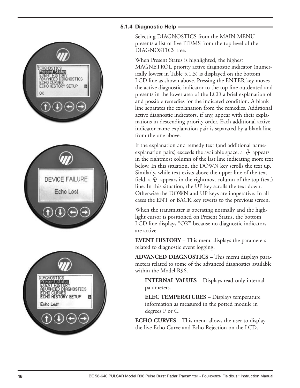### **5.1.4 Diagnostic Help**

DIAGNOSTIC esent Status **ICED DIAGNOSTICS HISTORY SETUP** ø

DEVICE FAILURE

Echo Lost



Selecting DIAGNOSTICS from the MAIN MENU presents a list of five ITEMS from the top level of the DIAGNOSTICS tree.

When Present Status is highlighted, the highest MAGNETROL priority active diagnostic indicator (numerically lowest in Table 5.1.3) is displayed on the bottom LCD line as shown above. Pressing the ENTER key moves the active diagnostic indicator to the top line outdented and presents in the lower area of the LCD a brief explanation of and possible remedies for the indicated condition. A blank line separates the explanation from the remedies. Additional active diagnostic indicators, if any, appear with their explanations in descending priority order. Each additional active indicator name-explanation pair is separated by a blank line from the one above.

If the explanation and remedy text (and additional nameexplanation pairs) exceeds the available space, a  $\mathbb G$  appears in the rightmost column of the last line indicating more text below. In this situation, the DOWN key scrolls the text up. Similarly, while text exists above the upper line of the text field, a  $\hat{\bm{\mathrm{Y}}}$  appears in the rightmost column of the top (text) line. In this situation, the UP key scrolls the text down. Otherwise the DOWN and UP keys are inoperative. In all cases the ENT or BACK key reverts to the previous screen.

When the transmitter is operating normally and the highlight cursor is positioned on Present Status, the bottom LCD line displays "OK" because no diagnostic indicators are active.

**EVENT HISTORY** – This menu displays the parameters related to diagnostic event logging.

**ADVANCED DIAGNOSTICS** – This menu displays parameters related to some of the advanced diagnostics available within the Model R96.

**INTERNAL VALUES** – Displays read-only internal parameters.

**ELEC TEMPERATURES** – Displays temperature information as measured in the potted module in degrees F or C.

**ECHO CURVES** – This menu allows the user to display the live Echo Curve and Echo Rejection on the LCD.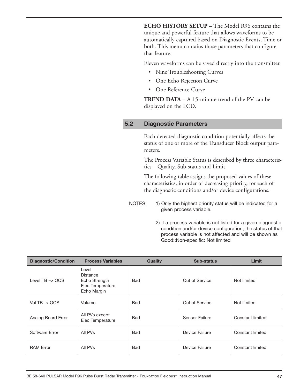**ECHO HISTORY SETUP** – The Model R96 contains the unique and powerful feature that allows waveforms to be automatically captured based on Diagnostic Events, Time or both. This menu contains those parameters that configure that feature.

Eleven waveforms can be saved directly into the transmitter.

- Nine Troubleshooting Curves
- One Echo Rejection Curve
- One Reference Curve

**TREND DATA** – A 15-minute trend of the PV can be displayed on the LCD.

#### **5.2 Diagnostic Parameters**

Each detected diagnostic condition potentially affects the status of one or more of the Transducer Block output parameters.

The Process Variable Status is described by three characteristics—Quality, Sub-status and Limit.

The following table assigns the proposed values of these characteristics, in order of decreasing priority, for each of the diagnostic conditions and/or device configurations.

- NOTES: 1) Only the highest priority status will be indicated for a given process variable.
	- 2) If a process variable is not listed for a given diagnostic condition and/or device configuration, the status of that process variable is not affected and will be shown as Good::Non-specific: Not limited

| <b>Diagnostic/Condition</b> | <b>Process Variables</b>                                              | Quality    | <b>Sub-status</b> | Limit            |
|-----------------------------|-----------------------------------------------------------------------|------------|-------------------|------------------|
| Level $TB \rightarrow OOS$  | Level<br>Distance<br>Echo Strength<br>Elec Temperature<br>Echo Margin | Bad        | Out of Service    | Not limited      |
| Vol TB $\rightarrow$ OOS    | Volume                                                                | Bad        | Out of Service    | Not limited      |
| Analog Board Error          | All PVs except<br>Elec Temperature                                    | Bad        | Sensor Failure    | Constant limited |
| Software Error              | All PVs                                                               | Bad        | Device Failure    | Constant limited |
| <b>RAM Error</b>            | All PVs                                                               | <b>Bad</b> | Device Failure    | Constant limited |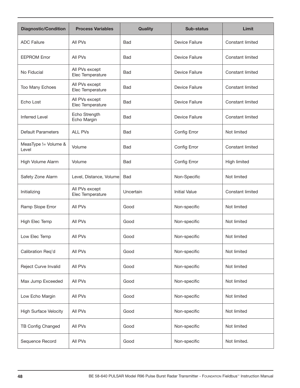| <b>Diagnostic/Condition</b>   | <b>Process Variables</b>           | <b>Quality</b> | <b>Sub-status</b>    | Limit                   |
|-------------------------------|------------------------------------|----------------|----------------------|-------------------------|
| <b>ADC Failure</b>            | All PVs                            | <b>Bad</b>     | Device Failure       | Constant limited        |
| <b>EEPROM Error</b>           | All PVs                            | <b>Bad</b>     | Device Failure       | <b>Constant limited</b> |
| No Fiducial                   | All PVs except<br>Elec Temperature | <b>Bad</b>     | Device Failure       | <b>Constant limited</b> |
| Too Many Echoes               | All PVs except<br>Elec Temperature | <b>Bad</b>     | Device Failure       | <b>Constant limited</b> |
| Echo Lost                     | All PVs except<br>Elec Temperature | <b>Bad</b>     | Device Failure       | <b>Constant limited</b> |
| <b>Inferred Level</b>         | Echo Strength<br>Echo Margin       | <b>Bad</b>     | Device Failure       | Constant limited        |
| <b>Default Parameters</b>     | <b>ALL PVs</b>                     | <b>Bad</b>     | Config Error         | Not limited             |
| MeasType != Volume &<br>Level | Volume                             | <b>Bad</b>     | Config Error         | <b>Constant limited</b> |
| High Volume Alarm             | Volume                             | <b>Bad</b>     | Config Error         | <b>High limited</b>     |
| Safety Zone Alarm             | Level, Distance, Volume            | Bad            | Non-Specific         | Not limited             |
| Initializing                  | All PVs except<br>Elec Temperature | Uncertain      | <b>Initial Value</b> | <b>Constant limited</b> |
| Ramp Slope Error              | All PVs                            | Good           | Non-specific         | Not limited             |
| High Elec Temp                | All PVs                            | Good           | Non-specific         | Not limited             |
| Low Elec Temp                 | All PVs                            | Good           | Non-specific         | Not limited             |
| Calibration Req'd             | All PVs                            | Good           | Non-specific         | Not limited             |
| Reject Curve Invalid          | All PVs                            | Good           | Non-specific         | Not limited             |
| Max Jump Exceeded             | All PVs                            | Good           | Non-specific         | Not limited             |
| Low Echo Margin               | All PVs                            | Good           | Non-specific         | Not limited             |
| <b>High Surface Velocity</b>  | All PVs                            | Good           | Non-specific         | Not limited             |
| TB Config Changed             | All PVs                            | Good           | Non-specific         | Not limited             |
| Sequence Record               | All PVs                            | Good           | Non-specific         | Not limited.            |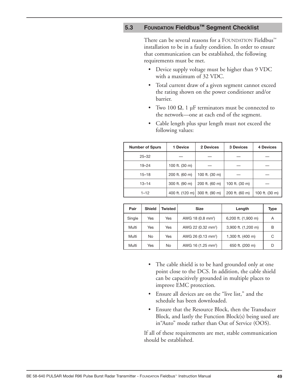### **5.3 FOUNDATION Fieldbus™ Segment Checklist**

There can be several reasons for a FOUNDATION Fieldbus™ installation to be in a faulty condition. In order to ensure that communication can be established, the following requirements must be met.

- Device supply voltage must be higher than 9 VDC with a maximum of 32 VDC.
- Total current draw of a given segment cannot exceed the rating shown on the power conditioner and/or barrier.
- Two 100  $\Omega$ , 1 µF terminators must be connected to the network—one at each end of the segment.
- Cable length plus spur length must not exceed the following values:

| <b>Number of Spurs</b> | 1 Device        | 2 Devices      | <b>3 Devices</b> | 4 Devices      |
|------------------------|-----------------|----------------|------------------|----------------|
| $25 - 32$              |                 |                |                  |                |
| $19 - 24$              | 100 ft. (30 m)  |                |                  |                |
| $15 - 18$              | 200 ft. (60 m)  | 100 ft. (30 m) |                  |                |
| $13 - 14$              | 300 ft. (90 m)  | 200 ft. (60 m) | 100 ft. (30 m)   |                |
| $1 - 12$               | 400 ft. (120 m) | 300 ft. (90 m) | 200 ft. (60 m)   | 100 ft. (30 m) |

| Pair   | <b>Shield</b> | Twisted | <b>Size</b>                    | Length              | Type |
|--------|---------------|---------|--------------------------------|---------------------|------|
| Single | <b>Yes</b>    | Yes     | AWG 18 (0.8 mm <sup>2</sup> )  | 6,200 ft. (1,900 m) | A    |
| Multi  | Yes           | Yes     | AWG 22 (0.32 mm <sup>2</sup> ) | 3,900 ft. (1,200 m) | В    |
| Multi  | <b>No</b>     | Yes     | AWG 26 (0.13 mm <sup>2</sup> ) | 1,300 ft. (400 m)   | C    |
| Multi  | Yes           | No      | AWG 16 (1.25 mm <sup>2</sup> ) | 650 ft. (200 m)     | D    |

- The cable shield is to be hard grounded only at one point close to the DCS. In addition, the cable shield can be capacitively grounded in multiple places to improve EMC protection.
- Ensure all devices are on the "live list," and the schedule has been downloaded.
- Ensure that the Resource Block, then the Transducer Block, and lastly the Function Block(s) being used are in"Auto" mode rather than Out of Service (OOS).

If all of these requirements are met, stable communication should be established.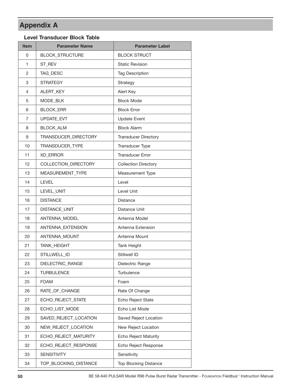## **Appendix A**

#### **Level Transducer Block Table**

| <b>Item</b> | <b>Parameter Name</b>  | <b>Parameter Label</b>       |
|-------------|------------------------|------------------------------|
| 0           | <b>BLOCK_STRUCTURE</b> | <b>BLOCK STRUCT</b>          |
| 1           | ST_REV                 | <b>Static Revision</b>       |
| 2           | TAG_DESC               | <b>Tag Description</b>       |
| 3           | <b>STRATEGY</b>        | Strategy                     |
| 4           | ALERT_KEY              | Alert Key                    |
| 5           | MODE BLK               | <b>Block Mode</b>            |
| 6           | <b>BLOCK_ERR</b>       | <b>Block Error</b>           |
| 7           | UPDATE_EVT             | <b>Update Event</b>          |
| 8           | BLOCK_ALM              | <b>Block Alarm</b>           |
| 9           | TRANSDUCER_DIRECTORY   | <b>Transducer Directory</b>  |
| 10          | TRANSDUCER_TYPE        | Transducer Type              |
| 11          | <b>XD_ERROR</b>        | <b>Transducer Error</b>      |
| 12          | COLLECTION_DIRECTORY   | <b>Collection Directory</b>  |
| 13          | MEASUREMENT_TYPE       | Measurement Type             |
| 14          | <b>LEVEL</b>           | Level                        |
| 15          | LEVEL_UNIT             | Level Unit                   |
| 16          | <b>DISTANCE</b>        | Distance                     |
| 17          | DISTANCE_UNIT          | <b>Distance Unit</b>         |
| 18          | ANTENNA_MODEL          | Antenna Model                |
| 19          | ANTENNA EXTENSION      | Antenna Extension            |
| 20          | ANTENNA MOUNT          | Antenna Mount                |
| 21          | <b>TANK_HEIGHT</b>     | Tank Height                  |
| 22          | STILLWELL_ID           | Stillwell ID                 |
| 23          | DIELECTRIC_RANGE       | Dielectric Range             |
| 24          | <b>TURBULENCE</b>      | Turbulence                   |
| 25          | <b>FOAM</b>            | Foam                         |
| 26          | RATE_OF_CHANGE         | Rate Of Change               |
| 27          | ECHO_REJECT_STATE      | Echo Reject State            |
| 28          | ECHO_LIST_MODE         | Echo List Mode               |
| 29          | SAVED_REJECT_LOCATION  | Saved Reject Location        |
| 30          | NEW_REJECT_LOCATION    | New Reject Location          |
| 31          | ECHO_REJECT_MATURITY   | <b>Echo Reject Maturity</b>  |
| 32          | ECHO_REJECT_RESPONSE   | Echo Reject Response         |
| 33          | <b>SENSITIVITY</b>     | Sensitivity                  |
| 34          | TOP_BLOCKING_DISTANCE  | <b>Top Blocking Distance</b> |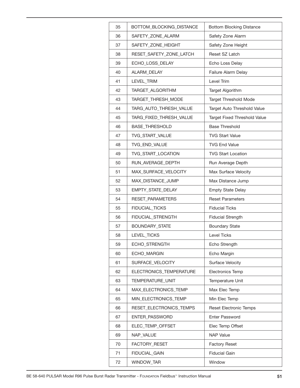| 35 | BOTTOM_BLOCKING_DISTANCE | <b>Bottom Blocking Distance</b> |
|----|--------------------------|---------------------------------|
| 36 | SAFETY_ZONE_ALARM        | Safety Zone Alarm               |
| 37 | SAFETY_ZONE_HEIGHT       | Safety Zone Height              |
| 38 | RESET_SAFETY_ZONE_LATCH  | Reset SZ Latch                  |
| 39 | ECHO_LOSS_DELAY          | Echo Loss Delay                 |
| 40 | ALARM_DELAY              | Failure Alarm Delay             |
| 41 | LEVEL_TRIM               | Level Trim                      |
| 42 | TARGET_ALGORITHM         | Target Algorithm                |
| 43 | TARGET_THRESH_MODE       | <b>Target Threshold Mode</b>    |
| 44 | TARG_AUTO_THRESH_VALUE   | Target Auto Threshold Value     |
| 45 | TARG_FIXED_THRESH_VALUE  | Target Fixed Threshold Value    |
| 46 | <b>BASE_THRESHOLD</b>    | <b>Base Threshold</b>           |
| 47 | TVG_START_VALUE          | <b>TVG Start Value</b>          |
| 48 | TVG_END_VALUE            | <b>TVG End Value</b>            |
| 49 | TVG_START_LOCATION       | <b>TVG Start Location</b>       |
| 50 | RUN_AVERAGE_DEPTH        | Run Average Depth               |
| 51 | MAX_SURFACE_VELOCITY     | Max Surface Velocity            |
| 52 | MAX_DISTANCE_JUMP        | Max Distance Jump               |
| 53 | EMPTY_STATE_DELAY        | <b>Empty State Delay</b>        |
| 54 | RESET_PARAMETERS         | <b>Reset Parameters</b>         |
| 55 | FIDUCIAL_TICKS           | <b>Fiducial Ticks</b>           |
| 56 | FIDUCIAL_STRENGTH        | <b>Fiducial Strength</b>        |
| 57 | BOUNDARY_STATE           | <b>Boundary State</b>           |
| 58 | LEVEL_TICKS              | <b>Level Ticks</b>              |
| 59 | ECHO_STRENGTH            | Echo Strength                   |
| 60 | ECHO_MARGIN              | Echo Margin                     |
| 61 | SURFACE_VELOCITY         | Surface Velocity                |
| 62 | ELECTRONICS_TEMPERATURE  | Electronics Temp                |
| 63 | TEMPERATURE_UNIT         | Temperature Unit                |
| 64 | MAX_ELECTRONICS_TEMP     | Max Elec Temp                   |
| 65 | MIN_ELECTRONICS_TEMP     | Min Elec Temp                   |
| 66 | RESET_ELECTRONICS_TEMPS  | <b>Reset Electronic Temps</b>   |
| 67 | ENTER_PASSWORD           | Enter Password                  |
| 68 | ELEC_TEMP_OFFSET         | Elec Temp Offset                |
| 69 | NAP_VALUE                | <b>NAP Value</b>                |
| 70 | FACTORY_RESET            | <b>Factory Reset</b>            |
| 71 | FIDUCIAL_GAIN            | <b>Fiducial Gain</b>            |
| 72 | WINDOW_TAR               | Window                          |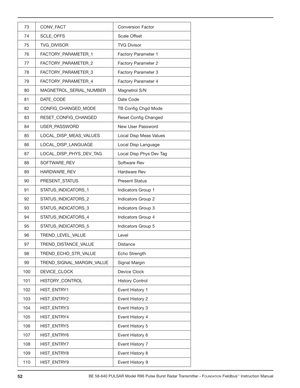| 73  | CONV_FACT                 | <b>Conversion Factor</b> |
|-----|---------------------------|--------------------------|
| 74  | SCLE_OFFS                 | <b>Scale Offset</b>      |
| 75  | TVG_DIVISOR               | <b>TVG Divisor</b>       |
| 76  | FACTORY_PARAMETER_1       | Factory Parameter 1      |
| 77  | FACTORY_PARAMETER_2       | Factory Parameter 2      |
| 78  | FACTORY_PARAMETER_3       | Factory Parameter 3      |
| 79  | FACTORY_PARAMETER_4       | Factory Parameter 4      |
| 80  | MAGNETROL_SERIAL_NUMBER   | Magnetrol S/N            |
| 81  | DATE_CODE                 | Date Code                |
| 82  | CONFIG_CHANGED_MODE       | TB Config Chgd Mode      |
| 83  | RESET_CONFIG_CHANGED      | Reset Config Changed     |
| 84  | USER_PASSWORD             | New User Password        |
| 85  | LOCAL DISP_MEAS_VALUES    | Local Disp Meas Values   |
| 86  | LOCAL_DISP_LANGUAGE       | Local Disp Language      |
| 87  | LOCAL_DISP_PHYS_DEV_TAG   | Local Disp Phys Dev Tag  |
| 88  | SOFTWARE_REV              | Software Rev             |
| 89  | HARDWARE_REV              | <b>Hardware Rev</b>      |
| 90  | PRESENT_STATUS            | <b>Present Status</b>    |
| 91  | STATUS_INDICATORS_1       | Indicators Group 1       |
| 92  | STATUS_INDICATORS_2       | Indicators Group 2       |
| 93  | STATUS_INDICATORS_3       | Indicators Group 3       |
| 94  | STATUS_INDICATORS_4       | Indicators Group 4       |
| 95  | STATUS_INDICATORS_5       | Indicators Group 5       |
| 96  | TREND_LEVEL_VALUE         | Level                    |
| 97  | TREND_DISTANCE_VALUE      | <b>Distance</b>          |
| 98  | TREND_ECHO_STR_VALUE      | Echo Strength            |
| 99  | TREND_SIGNAL_MARGIN_VALUE | Signal Margin            |
| 100 | DEVICE CLOCK              | Device Clock             |
| 101 | HISTORY_CONTROL           | <b>History Control</b>   |
| 102 | HIST_ENTRY1               | Event History 1          |
| 103 | HIST_ENTRY2               | Event History 2          |
| 104 | HIST_ENTRY3               | Event History 3          |
| 105 | HIST_ENTRY4               | Event History 4          |
| 106 | HIST_ENTRY5               | Event History 5          |
| 107 | HIST_ENTRY6               | Event History 6          |
| 108 | HIST_ENTRY7               | Event History 7          |
| 109 | HIST_ENTRY8               | Event History 8          |
| 110 | HIST_ENTRY9               | Event History 9          |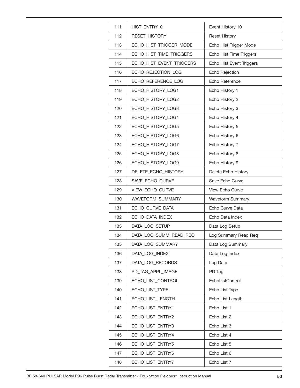| 111 | HIST_ENTRY10             | Event History 10         |
|-----|--------------------------|--------------------------|
| 112 | RESET_HISTORY            | <b>Reset History</b>     |
| 113 | ECHO_HIST_TRIGGER_MODE   | Echo Hist Trigger Mode   |
| 114 | ECHO_HIST_TIME_TRIGGERS  | Echo Hist Time Triggers  |
| 115 | ECHO_HIST_EVENT_TRIGGERS | Echo Hist Event Triggers |
| 116 | ECHO_REJECTION_LOG       | Echo Rejection           |
| 117 | ECHO_REFERENCE_LOG       | Echo Reference           |
| 118 | ECHO_HISTORY_LOG1        | Echo History 1           |
| 119 | ECHO_HISTORY_LOG2        | Echo History 2           |
| 120 | ECHO_HISTORY_LOG3        | Echo History 3           |
| 121 | ECHO_HISTORY_LOG4        | Echo History 4           |
| 122 | ECHO_HISTORY_LOG5        | Echo History 5           |
| 123 | ECHO_HISTORY_LOG6        | Echo History 6           |
| 124 | ECHO_HISTORY_LOG7        | Echo History 7           |
| 125 | ECHO_HISTORY_LOG8        | Echo History 8           |
| 126 | ECHO_HISTORY_LOG9        | Echo History 9           |
| 127 | DELETE_ECHO_HISTORY      | Delete Echo History      |
| 128 | SAVE_ECHO_CURVE          | Save Echo Curve          |
| 129 | VIEW_ECHO_CURVE          | <b>View Echo Curve</b>   |
| 130 | WAVEFORM_SUMMARY         | Waveform Summary         |
| 131 | ECHO_CURVE_DATA          | Echo Curve Data          |
| 132 | ECHO_DATA_INDEX          | Echo Data Index          |
| 133 | DATA_LOG_SETUP           | Data Log Setup           |
| 134 | DATA_LOG_SUMM_READ_REQ   | Log Summary Read Req     |
| 135 | DATA_LOG_SUMMARY         | Data Log Summary         |
| 136 | DATA_LOG_INDEX           | Data Log Index           |
| 137 | DATA LOG RECORDS         | Log Data                 |
| 138 | PD_TAG_APPL_IMAGE        | PD Tag                   |
| 139 | ECHO_LIST_CONTROL        | EchoListControl          |
| 140 | ECHO_LIST_TYPE           | Echo List Type           |
| 141 | ECHO_LIST_LENGTH         | Echo List Length         |
| 142 | ECHO_LIST_ENTRY1         | Echo List 1              |
| 143 | ECHO_LIST_ENTRY2         | Echo List 2              |
| 144 | ECHO_LIST_ENTRY3         | Echo List 3              |
| 145 | ECHO_LIST_ENTRY4         | Echo List 4              |
| 146 | ECHO_LIST_ENTRY5         | Echo List 5              |
| 147 | ECHO_LIST_ENTRY6         | Echo List 6              |
| 148 | ECHO_LIST_ENTRY7         | Echo List 7              |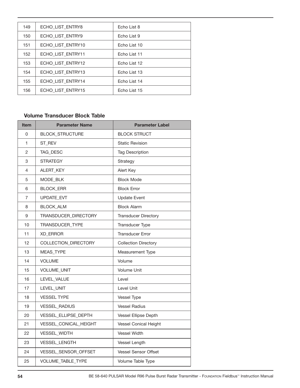| 149 | ECHO LIST ENTRY8  | Echo List 8  |
|-----|-------------------|--------------|
| 150 | ECHO LIST ENTRY9  | Echo List 9  |
| 151 | ECHO LIST ENTRY10 | Echo List 10 |
| 152 | ECHO LIST ENTRY11 | Echo List 11 |
| 153 | ECHO LIST ENTRY12 | Echo List 12 |
| 154 | ECHO LIST ENTRY13 | Echo List 13 |
| 155 | ECHO LIST ENTRY14 | Echo List 14 |
| 156 | ECHO LIST ENTRY15 | Echo List 15 |

#### **Volume Transducer Block Table**

| <b>Item</b>    | <b>Parameter Name</b>       | <b>Parameter Label</b>       |
|----------------|-----------------------------|------------------------------|
| 0              | <b>BLOCK_STRUCTURE</b>      | <b>BLOCK STRUCT</b>          |
| 1              | ST_REV                      | <b>Static Revision</b>       |
| $\overline{c}$ | TAG_DESC                    | <b>Tag Description</b>       |
| 3              | <b>STRATEGY</b>             | Strategy                     |
| 4              | ALERT_KEY                   | Alert Key                    |
| 5              | MODE BLK                    | <b>Block Mode</b>            |
| 6              | <b>BLOCK ERR</b>            | <b>Block Error</b>           |
| $\overline{7}$ | <b>UPDATE EVT</b>           | <b>Update Event</b>          |
| 8              | <b>BLOCK ALM</b>            | <b>Block Alarm</b>           |
| 9              | TRANSDUCER_DIRECTORY        | <b>Transducer Directory</b>  |
| 10             | TRANSDUCER_TYPE             | Transducer Type              |
| 11             | <b>XD_ERROR</b>             | <b>Transducer Error</b>      |
| 12             | <b>COLLECTION DIRECTORY</b> | <b>Collection Directory</b>  |
| 13             | <b>MEAS TYPE</b>            | Measurement Type             |
| 14             | <b>VOLUME</b>               | Volume                       |
| 15             | VOLUME_UNIT                 | <b>Volume Unit</b>           |
| 16             | LEVEL_VALUE                 | Level                        |
| 17             | <b>LEVEL UNIT</b>           | <b>Level Unit</b>            |
| 18             | <b>VESSEL TYPE</b>          | Vessel Type                  |
| 19             | <b>VESSEL RADIUS</b>        | <b>Vessel Radius</b>         |
| 20             | <b>VESSEL ELLIPSE DEPTH</b> | Vessel Ellipse Depth         |
| 21             | VESSEL_CONICAL_HEIGHT       | <b>Vessel Conical Height</b> |
| 22             | VESSEL_WIDTH                | <b>Vessel Width</b>          |
| 23             | VESSEL_LENGTH               | Vessel Length                |
| 24             | VESSEL_SENSOR_OFFSET        | <b>Vessel Sensor Offset</b>  |
| 25             | VOLUME_TABLE_TYPE           | Volume Table Type            |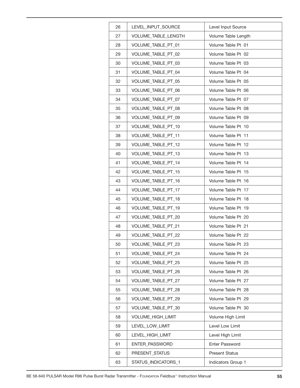| 26 | LEVEL_INPUT_SOURCE        | Level Input Source    |
|----|---------------------------|-----------------------|
| 27 | VOLUME_TABLE_LENGTH       | Volume Table Length   |
| 28 | VOLUME TABLE PT 01        | Volume Table Pt 01    |
| 29 | VOLUME TABLE PT_02        | Volume Table Pt 02    |
| 30 | VOLUME_TABLE_PT_03        | Volume Table Pt 03    |
| 31 | <b>VOLUME TABLE PT 04</b> | Volume Table Pt 04    |
| 32 | VOLUME_TABLE_PT_05        | Volume Table Pt 05    |
| 33 | VOLUME_TABLE_PT_06        | Volume Table Pt 06    |
| 34 | VOLUME_TABLE_PT_07        | Volume Table Pt 07    |
| 35 | VOLUME_TABLE_PT_08        | Volume Table Pt 08    |
| 36 | VOLUME_TABLE_PT_09        | Volume Table Pt 09    |
| 37 | VOLUME TABLE PT 10        | Volume Table Pt 10    |
| 38 | VOLUME_TABLE_PT_11        | Volume Table Pt 11    |
| 39 | VOLUME_TABLE_PT_12        | Volume Table Pt 12    |
| 40 | VOLUME_TABLE_PT_13        | Volume Table Pt 13    |
| 41 | VOLUME_TABLE_PT_14        | Volume Table Pt 14    |
| 42 | VOLUME_TABLE_PT_15        | Volume Table Pt 15    |
| 43 | VOLUME_TABLE_PT_16        | Volume Table Pt 16    |
| 44 | VOLUME_TABLE_PT_17        | Volume Table Pt 17    |
| 45 | VOLUME_TABLE_PT_18        | Volume Table Pt 18    |
| 46 | VOLUME_TABLE_PT_19        | Volume Table Pt 19    |
| 47 | VOLUME_TABLE_PT_20        | Volume Table Pt 20    |
| 48 | VOLUME TABLE PT_21        | Volume Table Pt 21    |
| 49 | VOLUME_TABLE_PT_22        | Volume Table Pt 22    |
| 50 | VOLUME_TABLE_PT_23        | Volume Table Pt 23    |
| 51 | VOLUME_TABLE_PT_24        | Volume Table Pt 24    |
| 52 | VOLUME_TABLE_PT_25        | Volume Table Pt 25    |
| 53 | VOLUME TABLE PT 26        | Volume Table Pt 26    |
| 54 | VOLUME_TABLE_PT_27        | Volume Table Pt 27    |
| 55 | VOLUME TABLE PT 28        | Volume Table Pt 28    |
| 56 | VOLUME_TABLE_PT_29        | Volume Table Pt 29    |
| 57 | VOLUME_TABLE_PT_30        | Volume Table Pt 30    |
| 58 | VOLUME_HIGH_LIMIT         | Volume High Limit     |
| 59 | LEVEL_LOW_LIMIT           | Level Low Limit       |
| 60 | LEVEL_HIGH_LIMIT          | Level High Limit      |
| 61 | <b>ENTER PASSWORD</b>     | Enter Password        |
| 62 | PRESENT_STATUS            | <b>Present Status</b> |
| 63 | STATUS_INDICATORS_1       | Indicators Group 1    |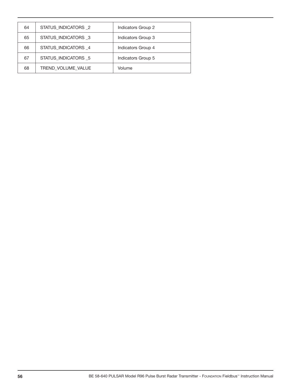| 64 | STATUS_INDICATORS_2 | Indicators Group 2 |
|----|---------------------|--------------------|
| 65 | STATUS INDICATORS 3 | Indicators Group 3 |
| 66 | STATUS_INDICATORS_4 | Indicators Group 4 |
| 67 | STATUS INDICATORS 5 | Indicators Group 5 |
| 68 | TREND VOLUME VALUE  | Volume             |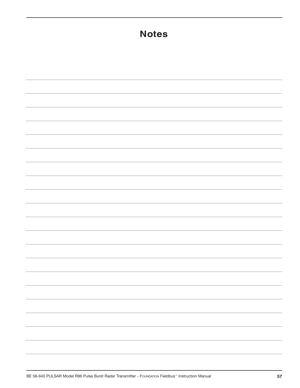| <b>Notes</b>                            |  |  |
|-----------------------------------------|--|--|
|                                         |  |  |
|                                         |  |  |
|                                         |  |  |
|                                         |  |  |
|                                         |  |  |
|                                         |  |  |
|                                         |  |  |
|                                         |  |  |
|                                         |  |  |
|                                         |  |  |
|                                         |  |  |
|                                         |  |  |
|                                         |  |  |
|                                         |  |  |
|                                         |  |  |
| <u> 1989 - Johann Barn, mars et al.</u> |  |  |
|                                         |  |  |
|                                         |  |  |
|                                         |  |  |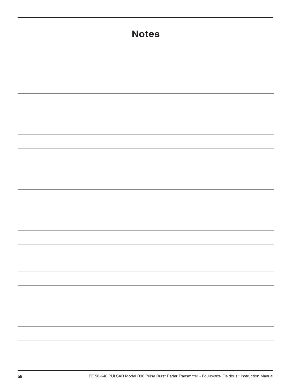| <b>Notes</b> |                          |  |
|--------------|--------------------------|--|
|              |                          |  |
|              |                          |  |
|              |                          |  |
|              |                          |  |
|              |                          |  |
|              |                          |  |
|              |                          |  |
|              |                          |  |
|              |                          |  |
|              |                          |  |
|              |                          |  |
|              |                          |  |
|              |                          |  |
|              | $\overline{\phantom{a}}$ |  |
|              |                          |  |
|              |                          |  |
|              | $\overline{\phantom{a}}$ |  |
|              |                          |  |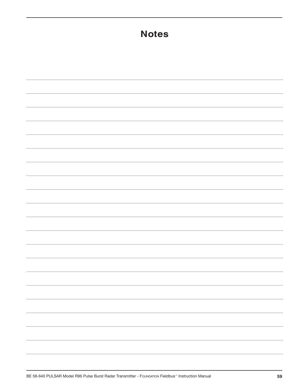| <b>Notes</b>                                                                                                                                                                                                                                                                                                                                                                                                                                                               |  |  |
|----------------------------------------------------------------------------------------------------------------------------------------------------------------------------------------------------------------------------------------------------------------------------------------------------------------------------------------------------------------------------------------------------------------------------------------------------------------------------|--|--|
|                                                                                                                                                                                                                                                                                                                                                                                                                                                                            |  |  |
|                                                                                                                                                                                                                                                                                                                                                                                                                                                                            |  |  |
|                                                                                                                                                                                                                                                                                                                                                                                                                                                                            |  |  |
|                                                                                                                                                                                                                                                                                                                                                                                                                                                                            |  |  |
|                                                                                                                                                                                                                                                                                                                                                                                                                                                                            |  |  |
|                                                                                                                                                                                                                                                                                                                                                                                                                                                                            |  |  |
|                                                                                                                                                                                                                                                                                                                                                                                                                                                                            |  |  |
|                                                                                                                                                                                                                                                                                                                                                                                                                                                                            |  |  |
|                                                                                                                                                                                                                                                                                                                                                                                                                                                                            |  |  |
|                                                                                                                                                                                                                                                                                                                                                                                                                                                                            |  |  |
|                                                                                                                                                                                                                                                                                                                                                                                                                                                                            |  |  |
|                                                                                                                                                                                                                                                                                                                                                                                                                                                                            |  |  |
|                                                                                                                                                                                                                                                                                                                                                                                                                                                                            |  |  |
|                                                                                                                                                                                                                                                                                                                                                                                                                                                                            |  |  |
|                                                                                                                                                                                                                                                                                                                                                                                                                                                                            |  |  |
|                                                                                                                                                                                                                                                                                                                                                                                                                                                                            |  |  |
| $\frac{1}{2} \left( \frac{1}{2} \right) \left( \frac{1}{2} \right) \left( \frac{1}{2} \right) \left( \frac{1}{2} \right) \left( \frac{1}{2} \right) \left( \frac{1}{2} \right) \left( \frac{1}{2} \right) \left( \frac{1}{2} \right) \left( \frac{1}{2} \right) \left( \frac{1}{2} \right) \left( \frac{1}{2} \right) \left( \frac{1}{2} \right) \left( \frac{1}{2} \right) \left( \frac{1}{2} \right) \left( \frac{1}{2} \right) \left( \frac{1}{2} \right) \left( \frac$ |  |  |
|                                                                                                                                                                                                                                                                                                                                                                                                                                                                            |  |  |
|                                                                                                                                                                                                                                                                                                                                                                                                                                                                            |  |  |
|                                                                                                                                                                                                                                                                                                                                                                                                                                                                            |  |  |